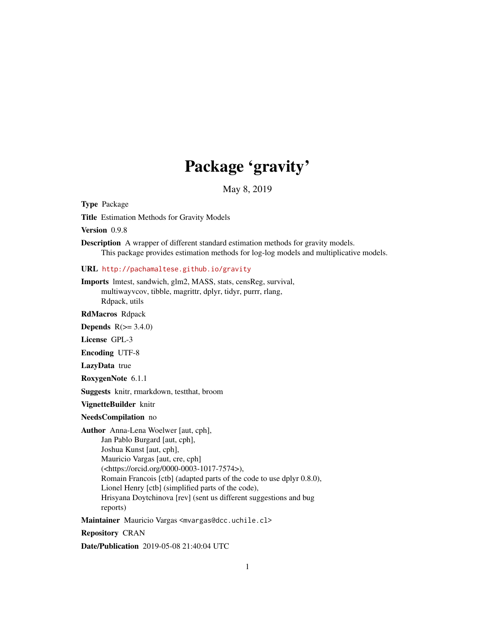# Package 'gravity'

May 8, 2019

<span id="page-0-0"></span>Type Package

Title Estimation Methods for Gravity Models

Version 0.9.8

Description A wrapper of different standard estimation methods for gravity models. This package provides estimation methods for log-log models and multiplicative models.

URL <http://pachamaltese.github.io/gravity>

Imports lmtest, sandwich, glm2, MASS, stats, censReg, survival, multiwayvcov, tibble, magrittr, dplyr, tidyr, purrr, rlang, Rdpack, utils

RdMacros Rdpack

**Depends**  $R(>= 3.4.0)$ 

License GPL-3

Encoding UTF-8

LazyData true

RoxygenNote 6.1.1

Suggests knitr, rmarkdown, testthat, broom

VignetteBuilder knitr

NeedsCompilation no

Author Anna-Lena Woelwer [aut, cph], Jan Pablo Burgard [aut, cph], Joshua Kunst [aut, cph], Mauricio Vargas [aut, cre, cph] (<https://orcid.org/0000-0003-1017-7574>), Romain Francois [ctb] (adapted parts of the code to use dplyr 0.8.0), Lionel Henry [ctb] (simplified parts of the code), Hrisyana Doytchinova [rev] (sent us different suggestions and bug reports)

Maintainer Mauricio Vargas <mvargas@dcc.uchile.cl>

Repository CRAN

Date/Publication 2019-05-08 21:40:04 UTC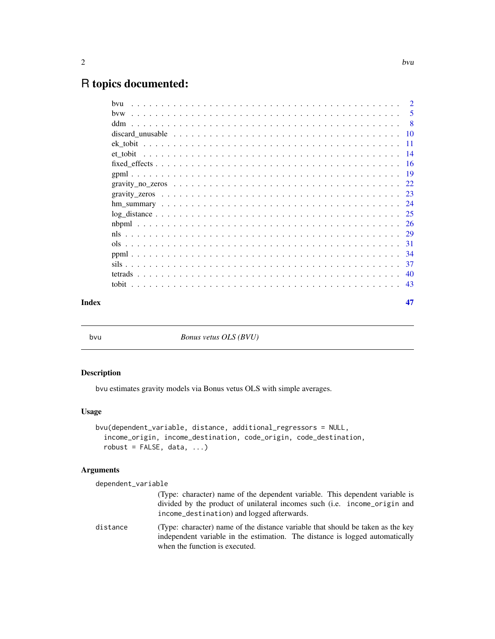# <span id="page-1-0"></span>R topics documented:

| hvw |    |
|-----|----|
|     |    |
| ddm |    |
|     |    |
|     |    |
|     |    |
|     |    |
|     |    |
|     |    |
|     |    |
|     |    |
|     |    |
|     |    |
|     |    |
|     |    |
|     |    |
|     |    |
|     |    |
|     |    |
|     | 47 |

bvu *Bonus vetus OLS (BVU)*

# Description

bvu estimates gravity models via Bonus vetus OLS with simple averages.

# Usage

```
bvu(dependent_variable, distance, additional_regressors = NULL,
  income_origin, income_destination, code_origin, code_destination,
  robust = FALSE, data, ...)
```
# Arguments

dependent\_variable (Type: character) name of the dependent variable. This dependent variable is divided by the product of unilateral incomes such (i.e. income\_origin and income\_destination) and logged afterwards. distance (Type: character) name of the distance variable that should be taken as the key independent variable in the estimation. The distance is logged automatically when the function is executed.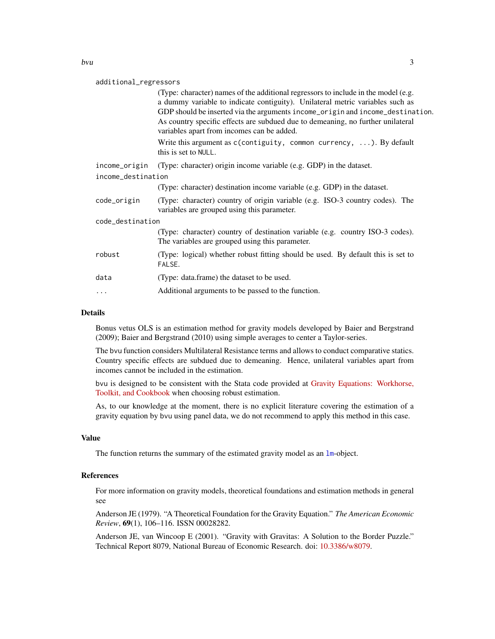# <span id="page-2-0"></span>additional\_regressors

|                    |               | (Type: character) names of the additional regressors to include in the model (e.g.<br>a dummy variable to indicate contiguity). Unilateral metric variables such as<br>GDP should be inserted via the arguments income_origin and income_destination.<br>As country specific effects are subdued due to demeaning, no further unilateral<br>variables apart from incomes can be added. |
|--------------------|---------------|----------------------------------------------------------------------------------------------------------------------------------------------------------------------------------------------------------------------------------------------------------------------------------------------------------------------------------------------------------------------------------------|
|                    |               | Write this argument as $c$ (contiguity, common currency, ). By default<br>this is set to NULL.                                                                                                                                                                                                                                                                                         |
|                    | income_origin | (Type: character) origin income variable (e.g. GDP) in the dataset.                                                                                                                                                                                                                                                                                                                    |
| income_destination |               |                                                                                                                                                                                                                                                                                                                                                                                        |
|                    |               | (Type: character) destination income variable (e.g. GDP) in the dataset.                                                                                                                                                                                                                                                                                                               |
|                    | code_origin   | (Type: character) country of origin variable (e.g. ISO-3 country codes). The<br>variables are grouped using this parameter.                                                                                                                                                                                                                                                            |
| code_destination   |               |                                                                                                                                                                                                                                                                                                                                                                                        |
|                    |               | (Type: character) country of destination variable (e.g. country ISO-3 codes).<br>The variables are grouped using this parameter.                                                                                                                                                                                                                                                       |
|                    | robust        | (Type: logical) whether robust fitting should be used. By default this is set to<br>FALSE.                                                                                                                                                                                                                                                                                             |
|                    | data          | (Type: data.frame) the dataset to be used.                                                                                                                                                                                                                                                                                                                                             |
|                    | .             | Additional arguments to be passed to the function.                                                                                                                                                                                                                                                                                                                                     |
|                    |               |                                                                                                                                                                                                                                                                                                                                                                                        |

# Details

Bonus vetus OLS is an estimation method for gravity models developed by Baier and Bergstrand (2009); Baier and Bergstrand (2010) using simple averages to center a Taylor-series.

The bvu function considers Multilateral Resistance terms and allows to conduct comparative statics. Country specific effects are subdued due to demeaning. Hence, unilateral variables apart from incomes cannot be included in the estimation.

bvu is designed to be consistent with the Stata code provided at [Gravity Equations: Workhorse,](https://sites.google.com/site/hiegravity/) [Toolkit, and Cookbook](https://sites.google.com/site/hiegravity/) when choosing robust estimation.

As, to our knowledge at the moment, there is no explicit literature covering the estimation of a gravity equation by bvu using panel data, we do not recommend to apply this method in this case.

# Value

The function returns the summary of the estimated gravity model as an [lm](#page-0-0)-object.

# References

For more information on gravity models, theoretical foundations and estimation methods in general see

Anderson JE (1979). "A Theoretical Foundation for the Gravity Equation." *The American Economic Review*, 69(1), 106–116. ISSN 00028282.

Anderson JE, van Wincoop E (2001). "Gravity with Gravitas: A Solution to the Border Puzzle." Technical Report 8079, National Bureau of Economic Research. doi: [10.3386/w8079.](http://doi.org/10.3386/w8079)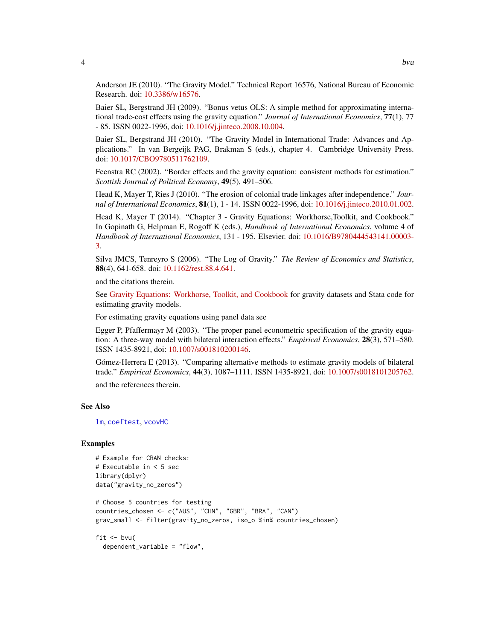<span id="page-3-0"></span>Anderson JE (2010). "The Gravity Model." Technical Report 16576, National Bureau of Economic Research. doi: [10.3386/w16576.](http://doi.org/10.3386/w16576)

Baier SL, Bergstrand JH (2009). "Bonus vetus OLS: A simple method for approximating international trade-cost effects using the gravity equation." *Journal of International Economics*, 77(1), 77 - 85. ISSN 0022-1996, doi: [10.1016/j.jinteco.2008.10.004.](http://doi.org/10.1016/j.jinteco.2008.10.004)

Baier SL, Bergstrand JH (2010). "The Gravity Model in International Trade: Advances and Applications." In van Bergeijk PAG, Brakman S (eds.), chapter 4. Cambridge University Press. doi: [10.1017/CBO9780511762109.](http://doi.org/10.1017/CBO9780511762109)

Feenstra RC (2002). "Border effects and the gravity equation: consistent methods for estimation." *Scottish Journal of Political Economy*, 49(5), 491–506.

Head K, Mayer T, Ries J (2010). "The erosion of colonial trade linkages after independence." *Journal of International Economics*, 81(1), 1 - 14. ISSN 0022-1996, doi: [10.1016/j.jinteco.2010.01.002.](http://doi.org/10.1016/j.jinteco.2010.01.002)

Head K, Mayer T (2014). "Chapter 3 - Gravity Equations: Workhorse,Toolkit, and Cookbook." In Gopinath G, Helpman E, Rogoff K (eds.), *Handbook of International Economics*, volume 4 of *Handbook of International Economics*, 131 - 195. Elsevier. doi: [10.1016/B9780444543141.00003-](http://doi.org/10.1016/B978-0-444-54314-1.00003-3) [3.](http://doi.org/10.1016/B978-0-444-54314-1.00003-3)

Silva JMCS, Tenreyro S (2006). "The Log of Gravity." *The Review of Economics and Statistics*, 88(4), 641-658. doi: [10.1162/rest.88.4.641.](http://doi.org/10.1162/rest.88.4.641)

and the citations therein.

See [Gravity Equations: Workhorse, Toolkit, and Cookbook](https://sites.google.com/site/hiegravity/) for gravity datasets and Stata code for estimating gravity models.

For estimating gravity equations using panel data see

Egger P, Pfaffermayr M (2003). "The proper panel econometric specification of the gravity equation: A three-way model with bilateral interaction effects." *Empirical Economics*, 28(3), 571–580. ISSN 1435-8921, doi: [10.1007/s001810200146.](http://doi.org/10.1007/s001810200146)

Gómez-Herrera E (2013). "Comparing alternative methods to estimate gravity models of bilateral trade." *Empirical Economics*, 44(3), 1087–1111. ISSN 1435-8921, doi: [10.1007/s0018101205762.](http://doi.org/10.1007/s00181-012-0576-2)

and the references therein.

### See Also

[lm](#page-0-0), [coeftest](#page-0-0), [vcovHC](#page-0-0)

# Examples

```
# Example for CRAN checks:
# Executable in < 5 sec
library(dplyr)
data("gravity_no_zeros")
# Choose 5 countries for testing
countries_chosen <- c("AUS", "CHN", "GBR", "BRA", "CAN")
grav_small <- filter(gravity_no_zeros, iso_o %in% countries_chosen)
fit \leftarrow bvu(
```
dependent\_variable = "flow",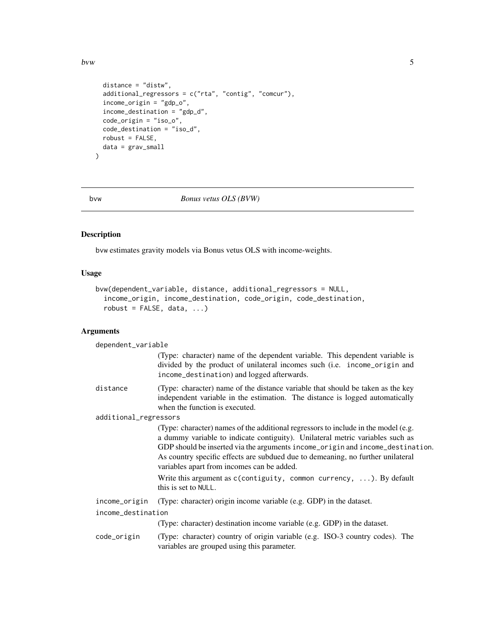<span id="page-4-0"></span>bvw 5

```
distance = "distw",
  additional_regressors = c("rta", "contig", "comcur"),
  income_origin = "gdp_o",
 income_destination = "gdp_d",
 code_origin = "iso_o",
 code_destination = "iso_d",
  robust = FALSE,
  data = grav_small
\mathcal{L}
```
bvw *Bonus vetus OLS (BVW)*

# Description

bvw estimates gravity models via Bonus vetus OLS with income-weights.

# Usage

```
bvw(dependent_variable, distance, additional_regressors = NULL,
  income_origin, income_destination, code_origin, code_destination,
  robust = FALSE, data, ...
```
# Arguments

| dependent_variable    |                                                                                                                                                                                                                                                                                                                                                                                        |  |
|-----------------------|----------------------------------------------------------------------------------------------------------------------------------------------------------------------------------------------------------------------------------------------------------------------------------------------------------------------------------------------------------------------------------------|--|
|                       | (Type: character) name of the dependent variable. This dependent variable is<br>divided by the product of unilateral incomes such (i.e. income_origin and<br>income_destination) and logged afterwards.                                                                                                                                                                                |  |
| distance              | (Type: character) name of the distance variable that should be taken as the key<br>independent variable in the estimation. The distance is logged automatically<br>when the function is executed.                                                                                                                                                                                      |  |
| additional_regressors |                                                                                                                                                                                                                                                                                                                                                                                        |  |
|                       | (Type: character) names of the additional regressors to include in the model (e.g.<br>a dummy variable to indicate contiguity). Unilateral metric variables such as<br>GDP should be inserted via the arguments income_origin and income_destination.<br>As country specific effects are subdued due to demeaning, no further unilateral<br>variables apart from incomes can be added. |  |
|                       | Write this argument as $c$ (contiguity, common currency, ). By default<br>this is set to NULL.                                                                                                                                                                                                                                                                                         |  |
| income_origin         | (Type: character) origin income variable (e.g. GDP) in the dataset.                                                                                                                                                                                                                                                                                                                    |  |
| income_destination    |                                                                                                                                                                                                                                                                                                                                                                                        |  |
|                       | (Type: character) destination income variable (e.g. GDP) in the dataset.                                                                                                                                                                                                                                                                                                               |  |
| code_origin           | (Type: character) country of origin variable (e.g. ISO-3 country codes). The<br>variables are grouped using this parameter.                                                                                                                                                                                                                                                            |  |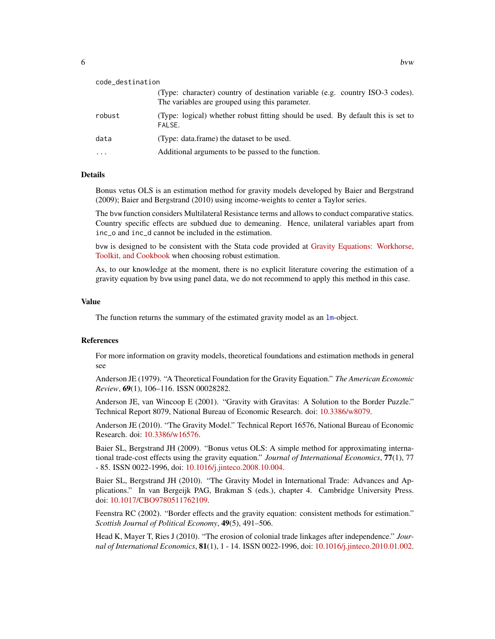<span id="page-5-0"></span>

| code_destination |                                                                                                                                  |
|------------------|----------------------------------------------------------------------------------------------------------------------------------|
|                  | (Type: character) country of destination variable (e.g. country ISO-3 codes).<br>The variables are grouped using this parameter. |
| robust           | (Type: logical) whether robust fitting should be used. By default this is set to<br>FALSE.                                       |
| data             | (Type: data.frame) the dataset to be used.                                                                                       |
| $\ddotsc$        | Additional arguments to be passed to the function.                                                                               |

# Details

Bonus vetus OLS is an estimation method for gravity models developed by Baier and Bergstrand (2009); Baier and Bergstrand (2010) using income-weights to center a Taylor series.

The bvw function considers Multilateral Resistance terms and allows to conduct comparative statics. Country specific effects are subdued due to demeaning. Hence, unilateral variables apart from inc\_o and inc\_d cannot be included in the estimation.

bvw is designed to be consistent with the Stata code provided at [Gravity Equations: Workhorse,](https://sites.google.com/site/hiegravity/) [Toolkit, and Cookbook](https://sites.google.com/site/hiegravity/) when choosing robust estimation.

As, to our knowledge at the moment, there is no explicit literature covering the estimation of a gravity equation by bvw using panel data, we do not recommend to apply this method in this case.

#### Value

The function returns the summary of the estimated gravity model as an  $1m$ -object.

# References

For more information on gravity models, theoretical foundations and estimation methods in general see

Anderson JE (1979). "A Theoretical Foundation for the Gravity Equation." *The American Economic Review*, 69(1), 106–116. ISSN 00028282.

Anderson JE, van Wincoop E (2001). "Gravity with Gravitas: A Solution to the Border Puzzle." Technical Report 8079, National Bureau of Economic Research. doi: [10.3386/w8079.](http://doi.org/10.3386/w8079)

Anderson JE (2010). "The Gravity Model." Technical Report 16576, National Bureau of Economic Research. doi: [10.3386/w16576.](http://doi.org/10.3386/w16576)

Baier SL, Bergstrand JH (2009). "Bonus vetus OLS: A simple method for approximating international trade-cost effects using the gravity equation." *Journal of International Economics*, 77(1), 77 - 85. ISSN 0022-1996, doi: [10.1016/j.jinteco.2008.10.004.](http://doi.org/10.1016/j.jinteco.2008.10.004)

Baier SL, Bergstrand JH (2010). "The Gravity Model in International Trade: Advances and Applications." In van Bergeijk PAG, Brakman S (eds.), chapter 4. Cambridge University Press. doi: [10.1017/CBO9780511762109.](http://doi.org/10.1017/CBO9780511762109)

Feenstra RC (2002). "Border effects and the gravity equation: consistent methods for estimation." *Scottish Journal of Political Economy*, 49(5), 491–506.

Head K, Mayer T, Ries J (2010). "The erosion of colonial trade linkages after independence." *Journal of International Economics*, 81(1), 1 - 14. ISSN 0022-1996, doi: [10.1016/j.jinteco.2010.01.002.](http://doi.org/10.1016/j.jinteco.2010.01.002)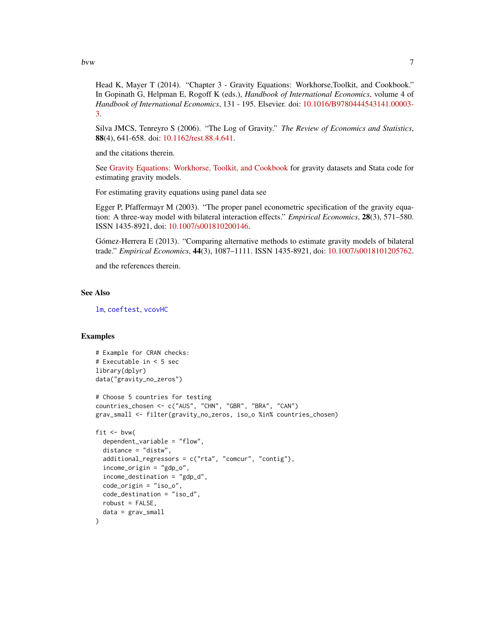<span id="page-6-0"></span>bvw 7

Head K, Mayer T (2014). "Chapter 3 - Gravity Equations: Workhorse, Toolkit, and Cookbook." In Gopinath G, Helpman E, Rogoff K (eds.), *Handbook of International Economics*, volume 4 of *Handbook of International Economics*, 131 - 195. Elsevier. doi: [10.1016/B9780444543141.00003-](http://doi.org/10.1016/B978-0-444-54314-1.00003-3) [3.](http://doi.org/10.1016/B978-0-444-54314-1.00003-3)

Silva JMCS, Tenreyro S (2006). "The Log of Gravity." *The Review of Economics and Statistics*, 88(4), 641-658. doi: [10.1162/rest.88.4.641.](http://doi.org/10.1162/rest.88.4.641)

and the citations therein.

See [Gravity Equations: Workhorse, Toolkit, and Cookbook](https://sites.google.com/site/hiegravity/) for gravity datasets and Stata code for estimating gravity models.

For estimating gravity equations using panel data see

Egger P, Pfaffermayr M (2003). "The proper panel econometric specification of the gravity equation: A three-way model with bilateral interaction effects." *Empirical Economics*, 28(3), 571–580. ISSN 1435-8921, doi: [10.1007/s001810200146.](http://doi.org/10.1007/s001810200146)

Gómez-Herrera E (2013). "Comparing alternative methods to estimate gravity models of bilateral trade." *Empirical Economics*, 44(3), 1087–1111. ISSN 1435-8921, doi: [10.1007/s0018101205762.](http://doi.org/10.1007/s00181-012-0576-2)

and the references therein.

# See Also

[lm](#page-0-0), [coeftest](#page-0-0), [vcovHC](#page-0-0)

# Examples

```
# Example for CRAN checks:
# Executable in < 5 sec
library(dplyr)
data("gravity_no_zeros")
# Choose 5 countries for testing
countries_chosen <- c("AUS", "CHN", "GBR", "BRA", "CAN")
grav_small <- filter(gravity_no_zeros, iso_o %in% countries_chosen)
fit \leftarrow bvw(
 dependent_variable = "flow",
 distance = "distw",
 additional_regressors = c("rta", "comcur", "contig"),
 income_origin = "gdp_o",
 income_destination = "gdp_d",
 code_origin = "iso_o",
 code_destination = "iso_d",
 robust = FALSE,
 data = grav_small
)
```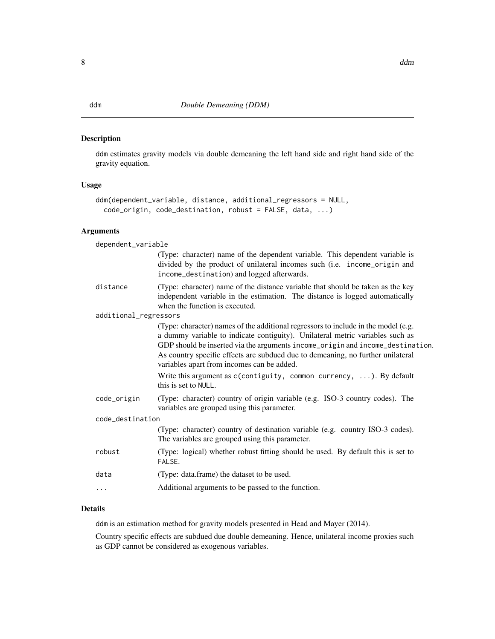# <span id="page-7-0"></span>Description

ddm estimates gravity models via double demeaning the left hand side and right hand side of the gravity equation.

# Usage

```
ddm(dependent_variable, distance, additional_regressors = NULL,
 code_origin, code_destination, robust = FALSE, data, ...)
```
# Arguments

dependent\_variable

|                       | (Type: character) name of the dependent variable. This dependent variable is<br>divided by the product of unilateral incomes such (i.e. income_origin and<br>income_destination) and logged afterwards.                                                                                                                                                                                |
|-----------------------|----------------------------------------------------------------------------------------------------------------------------------------------------------------------------------------------------------------------------------------------------------------------------------------------------------------------------------------------------------------------------------------|
| distance              | (Type: character) name of the distance variable that should be taken as the key<br>independent variable in the estimation. The distance is logged automatically<br>when the function is executed.                                                                                                                                                                                      |
| additional_regressors |                                                                                                                                                                                                                                                                                                                                                                                        |
|                       | (Type: character) names of the additional regressors to include in the model (e.g.<br>a dummy variable to indicate contiguity). Unilateral metric variables such as<br>GDP should be inserted via the arguments income_origin and income_destination.<br>As country specific effects are subdued due to demeaning, no further unilateral<br>variables apart from incomes can be added. |
|                       | Write this argument as $c$ (contiguity, common currency, ). By default<br>this is set to NULL.                                                                                                                                                                                                                                                                                         |
| code_origin           | (Type: character) country of origin variable (e.g. ISO-3 country codes). The<br>variables are grouped using this parameter.                                                                                                                                                                                                                                                            |
| code_destination      |                                                                                                                                                                                                                                                                                                                                                                                        |
|                       | (Type: character) country of destination variable (e.g. country ISO-3 codes).<br>The variables are grouped using this parameter.                                                                                                                                                                                                                                                       |
| robust                | (Type: logical) whether robust fitting should be used. By default this is set to<br>FALSE.                                                                                                                                                                                                                                                                                             |
| data                  | (Type: data.frame) the dataset to be used.                                                                                                                                                                                                                                                                                                                                             |
| $\ddots$              | Additional arguments to be passed to the function.                                                                                                                                                                                                                                                                                                                                     |

# Details

ddm is an estimation method for gravity models presented in Head and Mayer (2014).

Country specific effects are subdued due double demeaning. Hence, unilateral income proxies such as GDP cannot be considered as exogenous variables.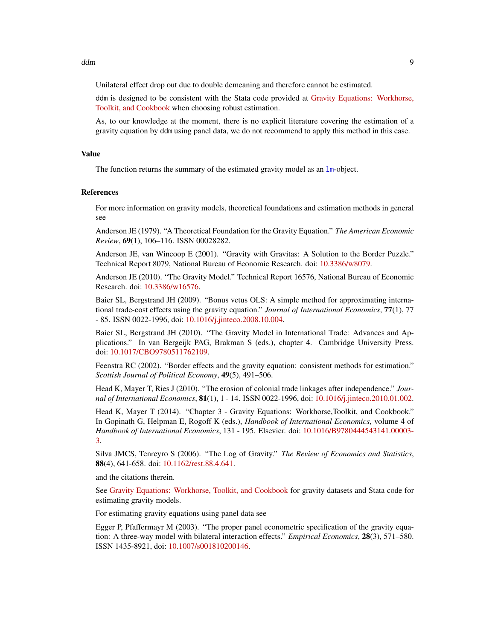<span id="page-8-0"></span>Unilateral effect drop out due to double demeaning and therefore cannot be estimated.

ddm is designed to be consistent with the Stata code provided at [Gravity Equations: Workhorse,](https://sites.google.com/site/hiegravity/) [Toolkit, and Cookbook](https://sites.google.com/site/hiegravity/) when choosing robust estimation.

As, to our knowledge at the moment, there is no explicit literature covering the estimation of a gravity equation by ddm using panel data, we do not recommend to apply this method in this case.

#### Value

The function returns the summary of the estimated gravity model as an 1m-object.

#### References

For more information on gravity models, theoretical foundations and estimation methods in general see

Anderson JE (1979). "A Theoretical Foundation for the Gravity Equation." *The American Economic Review*, 69(1), 106–116. ISSN 00028282.

Anderson JE, van Wincoop E (2001). "Gravity with Gravitas: A Solution to the Border Puzzle." Technical Report 8079, National Bureau of Economic Research. doi: [10.3386/w8079.](http://doi.org/10.3386/w8079)

Anderson JE (2010). "The Gravity Model." Technical Report 16576, National Bureau of Economic Research. doi: [10.3386/w16576.](http://doi.org/10.3386/w16576)

Baier SL, Bergstrand JH (2009). "Bonus vetus OLS: A simple method for approximating international trade-cost effects using the gravity equation." *Journal of International Economics*, 77(1), 77 - 85. ISSN 0022-1996, doi: [10.1016/j.jinteco.2008.10.004.](http://doi.org/10.1016/j.jinteco.2008.10.004)

Baier SL, Bergstrand JH (2010). "The Gravity Model in International Trade: Advances and Applications." In van Bergeijk PAG, Brakman S (eds.), chapter 4. Cambridge University Press. doi: [10.1017/CBO9780511762109.](http://doi.org/10.1017/CBO9780511762109)

Feenstra RC (2002). "Border effects and the gravity equation: consistent methods for estimation." *Scottish Journal of Political Economy*, 49(5), 491–506.

Head K, Mayer T, Ries J (2010). "The erosion of colonial trade linkages after independence." *Journal of International Economics*, 81(1), 1 - 14. ISSN 0022-1996, doi: [10.1016/j.jinteco.2010.01.002.](http://doi.org/10.1016/j.jinteco.2010.01.002)

Head K, Mayer T (2014). "Chapter 3 - Gravity Equations: Workhorse,Toolkit, and Cookbook." In Gopinath G, Helpman E, Rogoff K (eds.), *Handbook of International Economics*, volume 4 of *Handbook of International Economics*, 131 - 195. Elsevier. doi: [10.1016/B9780444543141.00003-](http://doi.org/10.1016/B978-0-444-54314-1.00003-3) [3.](http://doi.org/10.1016/B978-0-444-54314-1.00003-3)

Silva JMCS, Tenreyro S (2006). "The Log of Gravity." *The Review of Economics and Statistics*, 88(4), 641-658. doi: [10.1162/rest.88.4.641.](http://doi.org/10.1162/rest.88.4.641)

and the citations therein.

See [Gravity Equations: Workhorse, Toolkit, and Cookbook](https://sites.google.com/site/hiegravity/) for gravity datasets and Stata code for estimating gravity models.

For estimating gravity equations using panel data see

Egger P, Pfaffermayr M (2003). "The proper panel econometric specification of the gravity equation: A three-way model with bilateral interaction effects." *Empirical Economics*, 28(3), 571–580. ISSN 1435-8921, doi: [10.1007/s001810200146.](http://doi.org/10.1007/s001810200146)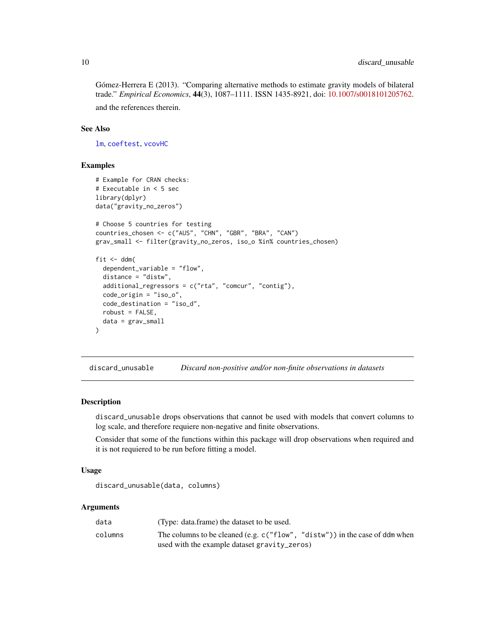<span id="page-9-0"></span>Gómez-Herrera E (2013). "Comparing alternative methods to estimate gravity models of bilateral trade." *Empirical Economics*, 44(3), 1087–1111. ISSN 1435-8921, doi: [10.1007/s0018101205762.](http://doi.org/10.1007/s00181-012-0576-2) and the references therein.

# See Also

[lm](#page-0-0), [coeftest](#page-0-0), [vcovHC](#page-0-0)

# Examples

```
# Example for CRAN checks:
# Executable in < 5 sec
library(dplyr)
data("gravity_no_zeros")
# Choose 5 countries for testing
countries_chosen <- c("AUS", "CHN", "GBR", "BRA", "CAN")
grav_small <- filter(gravity_no_zeros, iso_o %in% countries_chosen)
fit \leftarrow ddm(
  dependent_variable = "flow",
  distance = "distw",
  additional_regressors = c("rta", "comcur", "contig"),
  code_origin = "iso_o",
  code_destination = "iso_d",
  robust = FALSE,
  data = grav_small
)
```
discard\_unusable *Discard non-positive and/or non-finite observations in datasets*

# Description

discard\_unusable drops observations that cannot be used with models that convert columns to log scale, and therefore requiere non-negative and finite observations.

Consider that some of the functions within this package will drop observations when required and it is not requiered to be run before fitting a model.

# Usage

discard\_unusable(data, columns)

## Arguments

| data    | (Type: data.frame) the dataset to be used.                                     |
|---------|--------------------------------------------------------------------------------|
| columns | The columns to be cleaned (e.g. $c("flow", "distw")$ ) in the case of ddm when |
|         | used with the example dataset gravity_zeros)                                   |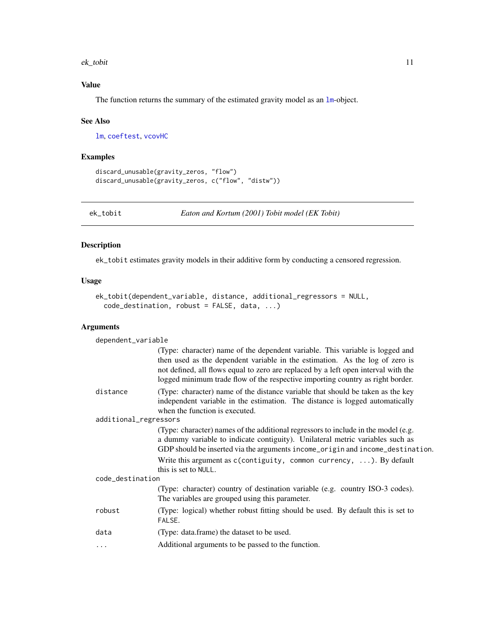#### <span id="page-10-0"></span>ek\_tobit 11

# Value

The function returns the summary of the estimated gravity model as an  $1m$ -object.

#### See Also

[lm](#page-0-0), [coeftest](#page-0-0), [vcovHC](#page-0-0)

### Examples

```
discard_unusable(gravity_zeros, "flow")
discard_unusable(gravity_zeros, c("flow", "distw"))
```
<span id="page-10-1"></span>ek\_tobit *Eaton and Kortum (2001) Tobit model (EK Tobit)*

# **Description**

ek\_tobit estimates gravity models in their additive form by conducting a censored regression.

# Usage

```
ek_tobit(dependent_variable, distance, additional_regressors = NULL,
  code_destination, robust = FALSE, data, ...)
```
#### Arguments

dependent\_variable (Type: character) name of the dependent variable. This variable is logged and then used as the dependent variable in the estimation. As the log of zero is not defined, all flows equal to zero are replaced by a left open interval with the logged minimum trade flow of the respective importing country as right border. distance (Type: character) name of the distance variable that should be taken as the key independent variable in the estimation. The distance is logged automatically when the function is executed. additional\_regressors (Type: character) names of the additional regressors to include in the model (e.g. a dummy variable to indicate contiguity). Unilateral metric variables such as GDP should be inserted via the arguments income\_origin and income\_destination. Write this argument as c(contiguity, common currency, ...). By default this is set to NULL. code\_destination (Type: character) country of destination variable (e.g. country ISO-3 codes). The variables are grouped using this parameter. robust (Type: logical) whether robust fitting should be used. By default this is set to FALSE. data (Type: data.frame) the dataset to be used. ... Additional arguments to be passed to the function.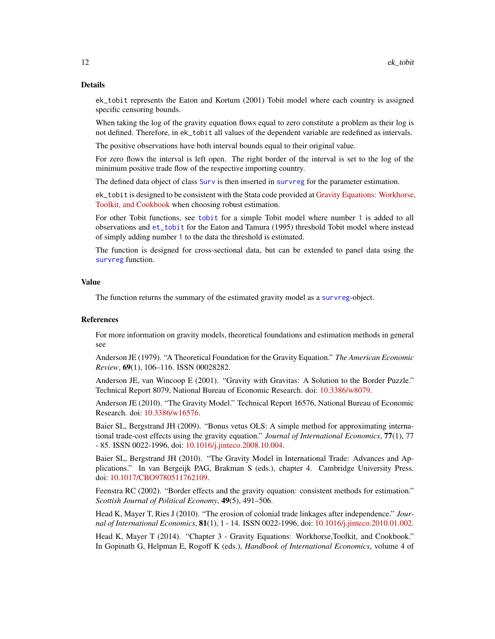#### <span id="page-11-0"></span>Details

ek\_tobit represents the Eaton and Kortum (2001) Tobit model where each country is assigned specific censoring bounds.

When taking the log of the gravity equation flows equal to zero constitute a problem as their log is not defined. Therefore, in ek\_tobit all values of the dependent variable are redefined as intervals.

The positive observations have both interval bounds equal to their original value.

For zero flows the interval is left open. The right border of the interval is set to the log of the minimum positive trade flow of the respective importing country.

The defined data object of class [Surv](#page-0-0) is then inserted in [survreg](#page-0-0) for the parameter estimation.

ek\_tobit is designed to be consistent with the Stata code provided at [Gravity Equations: Workhorse,](https://sites.google.com/site/hiegravity/) [Toolkit, and Cookbook](https://sites.google.com/site/hiegravity/) when choosing robust estimation.

For other Tobit functions, see [tobit](#page-42-1) for a simple Tobit model where number 1 is added to all observations and [et\\_tobit](#page-13-1) for the Eaton and Tamura (1995) threshold Tobit model where instead of simply adding number 1 to the data the threshold is estimated.

The function is designed for cross-sectional data, but can be extended to panel data using the [survreg](#page-0-0) function.

# Value

The function returns the summary of the estimated gravity model as a [survreg](#page-0-0)-object.

# References

For more information on gravity models, theoretical foundations and estimation methods in general see

Anderson JE (1979). "A Theoretical Foundation for the Gravity Equation." *The American Economic Review*, 69(1), 106–116. ISSN 00028282.

Anderson JE, van Wincoop E (2001). "Gravity with Gravitas: A Solution to the Border Puzzle." Technical Report 8079, National Bureau of Economic Research. doi: [10.3386/w8079.](http://doi.org/10.3386/w8079)

Anderson JE (2010). "The Gravity Model." Technical Report 16576, National Bureau of Economic Research. doi: [10.3386/w16576.](http://doi.org/10.3386/w16576)

Baier SL, Bergstrand JH (2009). "Bonus vetus OLS: A simple method for approximating international trade-cost effects using the gravity equation." *Journal of International Economics*, 77(1), 77 - 85. ISSN 0022-1996, doi: [10.1016/j.jinteco.2008.10.004.](http://doi.org/10.1016/j.jinteco.2008.10.004)

Baier SL, Bergstrand JH (2010). "The Gravity Model in International Trade: Advances and Applications." In van Bergeijk PAG, Brakman S (eds.), chapter 4. Cambridge University Press. doi: [10.1017/CBO9780511762109.](http://doi.org/10.1017/CBO9780511762109)

Feenstra RC (2002). "Border effects and the gravity equation: consistent methods for estimation." *Scottish Journal of Political Economy*, 49(5), 491–506.

Head K, Mayer T, Ries J (2010). "The erosion of colonial trade linkages after independence." *Journal of International Economics*, 81(1), 1 - 14. ISSN 0022-1996, doi: [10.1016/j.jinteco.2010.01.002.](http://doi.org/10.1016/j.jinteco.2010.01.002)

Head K, Mayer T (2014). "Chapter 3 - Gravity Equations: Workhorse,Toolkit, and Cookbook." In Gopinath G, Helpman E, Rogoff K (eds.), *Handbook of International Economics*, volume 4 of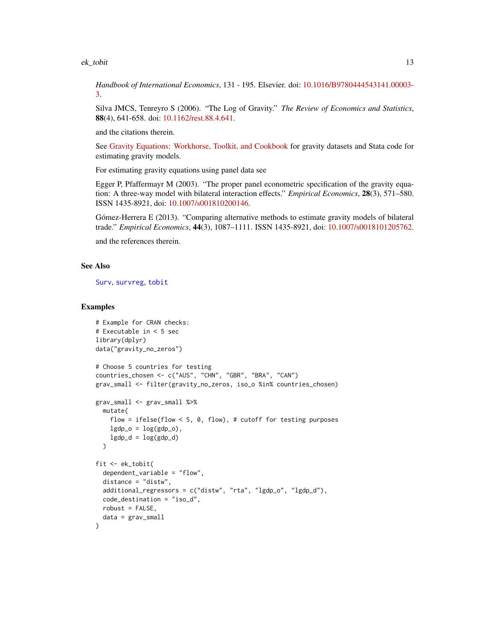#### <span id="page-12-0"></span>ek\_tobit 13

*Handbook of International Economics*, 131 - 195. Elsevier. doi: [10.1016/B9780444543141.00003-](http://doi.org/10.1016/B978-0-444-54314-1.00003-3) [3.](http://doi.org/10.1016/B978-0-444-54314-1.00003-3)

Silva JMCS, Tenreyro S (2006). "The Log of Gravity." *The Review of Economics and Statistics*, 88(4), 641-658. doi: [10.1162/rest.88.4.641.](http://doi.org/10.1162/rest.88.4.641)

and the citations therein.

See [Gravity Equations: Workhorse, Toolkit, and Cookbook](https://sites.google.com/site/hiegravity/) for gravity datasets and Stata code for estimating gravity models.

For estimating gravity equations using panel data see

Egger P, Pfaffermayr M (2003). "The proper panel econometric specification of the gravity equation: A three-way model with bilateral interaction effects." *Empirical Economics*, 28(3), 571–580. ISSN 1435-8921, doi: [10.1007/s001810200146.](http://doi.org/10.1007/s001810200146)

Gómez-Herrera E (2013). "Comparing alternative methods to estimate gravity models of bilateral trade." *Empirical Economics*, 44(3), 1087–1111. ISSN 1435-8921, doi: [10.1007/s0018101205762.](http://doi.org/10.1007/s00181-012-0576-2)

and the references therein.

# See Also

[Surv](#page-0-0), [survreg](#page-0-0), [tobit](#page-42-1)

# Examples

```
# Example for CRAN checks:
# Executable in < 5 sec
library(dplyr)
data("gravity_no_zeros")
# Choose 5 countries for testing
countries_chosen <- c("AUS", "CHN", "GBR", "BRA", "CAN")
grav_small <- filter(gravity_no_zeros, iso_o %in% countries_chosen)
grav_small <- grav_small %>%
  mutate(
   flow = ifelse(flow \leq 5, 0, flow), # cutoff for testing purposes
   lgdp_0 = log(gdp_0),
    lgdp_d = log(gdp_d)\lambdafit <- ek_tobit(
  dependent_variable = "flow",
  distance = "distw",
  additional_regressors = c("distw", "rta", "lgdp_o", "lgdp_d"),
  code_destination = "iso_d",
  robust = FALSE,data = grav_small
)
```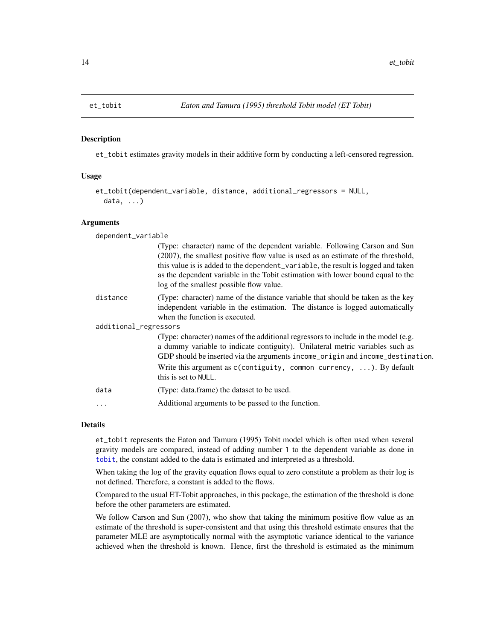#### Description

et\_tobit estimates gravity models in their additive form by conducting a left-censored regression.

#### Usage

```
et_tobit(dependent_variable, distance, additional_regressors = NULL,
  data, ...)
```
#### Arguments

| dependent_variable    |                                                                                                                                                                                                                                                                                                                                                                                    |  |
|-----------------------|------------------------------------------------------------------------------------------------------------------------------------------------------------------------------------------------------------------------------------------------------------------------------------------------------------------------------------------------------------------------------------|--|
|                       | (Type: character) name of the dependent variable. Following Carson and Sun<br>(2007), the smallest positive flow value is used as an estimate of the threshold,<br>this value is is added to the dependent_variable, the result is logged and taken<br>as the dependent variable in the Tobit estimation with lower bound equal to the<br>log of the smallest possible flow value. |  |
| distance              | (Type: character) name of the distance variable that should be taken as the key<br>independent variable in the estimation. The distance is logged automatically<br>when the function is executed.                                                                                                                                                                                  |  |
| additional_regressors |                                                                                                                                                                                                                                                                                                                                                                                    |  |
|                       | (Type: character) names of the additional regressors to include in the model (e.g.<br>a dummy variable to indicate contiguity). Unilateral metric variables such as<br>GDP should be inserted via the arguments income_origin and income_destination.                                                                                                                              |  |
|                       | Write this argument as $c$ (contiguity, common currency, ). By default<br>this is set to NULL.                                                                                                                                                                                                                                                                                     |  |
| data                  | (Type: data.frame) the dataset to be used.                                                                                                                                                                                                                                                                                                                                         |  |
| $\cdots$              | Additional arguments to be passed to the function.                                                                                                                                                                                                                                                                                                                                 |  |
|                       |                                                                                                                                                                                                                                                                                                                                                                                    |  |

# Details

et\_tobit represents the Eaton and Tamura (1995) Tobit model which is often used when several gravity models are compared, instead of adding number 1 to the dependent variable as done in [tobit](#page-42-1), the constant added to the data is estimated and interpreted as a threshold.

When taking the log of the gravity equation flows equal to zero constitute a problem as their log is not defined. Therefore, a constant is added to the flows.

Compared to the usual ET-Tobit approaches, in this package, the estimation of the threshold is done before the other parameters are estimated.

We follow Carson and Sun (2007), who show that taking the minimum positive flow value as an estimate of the threshold is super-consistent and that using this threshold estimate ensures that the parameter MLE are asymptotically normal with the asymptotic variance identical to the variance achieved when the threshold is known. Hence, first the threshold is estimated as the minimum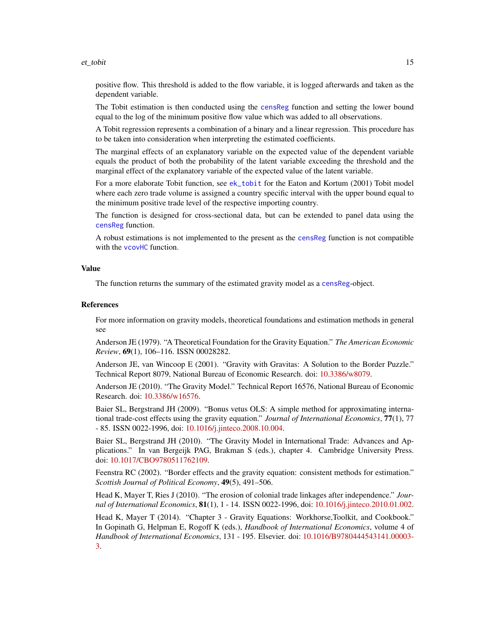#### <span id="page-14-0"></span>et\_tobit 15

positive flow. This threshold is added to the flow variable, it is logged afterwards and taken as the dependent variable.

The Tobit estimation is then conducted using the [censReg](#page-0-0) function and setting the lower bound equal to the log of the minimum positive flow value which was added to all observations.

A Tobit regression represents a combination of a binary and a linear regression. This procedure has to be taken into consideration when interpreting the estimated coefficients.

The marginal effects of an explanatory variable on the expected value of the dependent variable equals the product of both the probability of the latent variable exceeding the threshold and the marginal effect of the explanatory variable of the expected value of the latent variable.

For a more elaborate Tobit function, see [ek\\_tobit](#page-10-1) for the Eaton and Kortum (2001) Tobit model where each zero trade volume is assigned a country specific interval with the upper bound equal to the minimum positive trade level of the respective importing country.

The function is designed for cross-sectional data, but can be extended to panel data using the [censReg](#page-0-0) function.

A robust estimations is not implemented to the present as the [censReg](#page-0-0) function is not compatible with the [vcovHC](#page-0-0) function.

# Value

The function returns the summary of the estimated gravity model as a [censReg](#page-0-0)-object.

# References

For more information on gravity models, theoretical foundations and estimation methods in general see

Anderson JE (1979). "A Theoretical Foundation for the Gravity Equation." *The American Economic Review*, 69(1), 106–116. ISSN 00028282.

Anderson JE, van Wincoop E (2001). "Gravity with Gravitas: A Solution to the Border Puzzle." Technical Report 8079, National Bureau of Economic Research. doi: [10.3386/w8079.](http://doi.org/10.3386/w8079)

Anderson JE (2010). "The Gravity Model." Technical Report 16576, National Bureau of Economic Research. doi: [10.3386/w16576.](http://doi.org/10.3386/w16576)

Baier SL, Bergstrand JH (2009). "Bonus vetus OLS: A simple method for approximating international trade-cost effects using the gravity equation." *Journal of International Economics*, 77(1), 77 - 85. ISSN 0022-1996, doi: [10.1016/j.jinteco.2008.10.004.](http://doi.org/10.1016/j.jinteco.2008.10.004)

Baier SL, Bergstrand JH (2010). "The Gravity Model in International Trade: Advances and Applications." In van Bergeijk PAG, Brakman S (eds.), chapter 4. Cambridge University Press. doi: [10.1017/CBO9780511762109.](http://doi.org/10.1017/CBO9780511762109)

Feenstra RC (2002). "Border effects and the gravity equation: consistent methods for estimation." *Scottish Journal of Political Economy*, 49(5), 491–506.

Head K, Mayer T, Ries J (2010). "The erosion of colonial trade linkages after independence." *Journal of International Economics*, 81(1), 1 - 14. ISSN 0022-1996, doi: [10.1016/j.jinteco.2010.01.002.](http://doi.org/10.1016/j.jinteco.2010.01.002)

Head K, Mayer T (2014). "Chapter 3 - Gravity Equations: Workhorse,Toolkit, and Cookbook." In Gopinath G, Helpman E, Rogoff K (eds.), *Handbook of International Economics*, volume 4 of *Handbook of International Economics*, 131 - 195. Elsevier. doi: [10.1016/B9780444543141.00003-](http://doi.org/10.1016/B978-0-444-54314-1.00003-3) [3.](http://doi.org/10.1016/B978-0-444-54314-1.00003-3)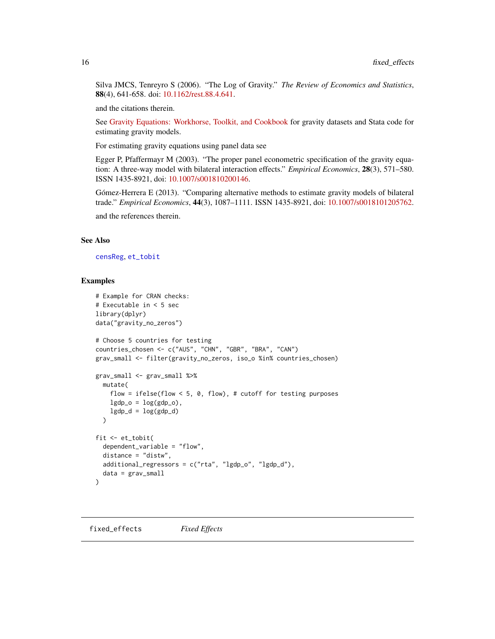<span id="page-15-0"></span>Silva JMCS, Tenreyro S (2006). "The Log of Gravity." *The Review of Economics and Statistics*, 88(4), 641-658. doi: [10.1162/rest.88.4.641.](http://doi.org/10.1162/rest.88.4.641)

and the citations therein.

See [Gravity Equations: Workhorse, Toolkit, and Cookbook](https://sites.google.com/site/hiegravity/) for gravity datasets and Stata code for estimating gravity models.

For estimating gravity equations using panel data see

Egger P, Pfaffermayr M (2003). "The proper panel econometric specification of the gravity equation: A three-way model with bilateral interaction effects." *Empirical Economics*, 28(3), 571–580. ISSN 1435-8921, doi: [10.1007/s001810200146.](http://doi.org/10.1007/s001810200146)

Gómez-Herrera E (2013). "Comparing alternative methods to estimate gravity models of bilateral trade." *Empirical Economics*, 44(3), 1087–1111. ISSN 1435-8921, doi: [10.1007/s0018101205762.](http://doi.org/10.1007/s00181-012-0576-2)

and the references therein.

#### See Also

[censReg](#page-0-0), [et\\_tobit](#page-13-1)

# Examples

```
# Example for CRAN checks:
# Executable in < 5 sec
library(dplyr)
data("gravity_no_zeros")
# Choose 5 countries for testing
countries_chosen <- c("AUS", "CHN", "GBR", "BRA", "CAN")
grav_small <- filter(gravity_no_zeros, iso_o %in% countries_chosen)
grav_small <- grav_small %>%
  mutate(
   flow = ifelse(flow < 5, 0, flow), # cutoff for testing purposes
   lgdp_0 = log(gdp_0),
   lgdp_d = log(gdp_d)\lambdafit <- et_tobit(
  dependent_variable = "flow",
  distance = "distw",
  additional_regressors = c("rta", "lgdp_o", "lgdp_d"),
  data = grav_small
\lambda
```
fixed\_effects *Fixed Effects*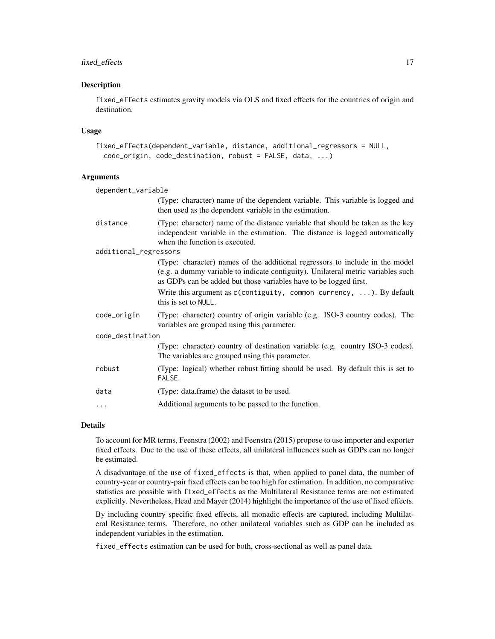# fixed\_effects 17

# **Description**

fixed\_effects estimates gravity models via OLS and fixed effects for the countries of origin and destination.

# Usage

```
fixed_effects(dependent_variable, distance, additional_regressors = NULL,
  code_origin, code_destination, robust = FALSE, data, ...)
```
# Arguments

| dependent_variable                                                                                                                                                                                                                    |  |  |
|---------------------------------------------------------------------------------------------------------------------------------------------------------------------------------------------------------------------------------------|--|--|
| (Type: character) name of the dependent variable. This variable is logged and<br>then used as the dependent variable in the estimation.                                                                                               |  |  |
| (Type: character) name of the distance variable that should be taken as the key<br>independent variable in the estimation. The distance is logged automatically<br>when the function is executed.                                     |  |  |
| additional_regressors                                                                                                                                                                                                                 |  |  |
| (Type: character) names of the additional regressors to include in the model<br>(e.g. a dummy variable to indicate contiguity). Unilateral metric variables such<br>as GDPs can be added but those variables have to be logged first. |  |  |
| Write this argument as $c$ (contiguity, common currency, ). By default<br>this is set to NULL.                                                                                                                                        |  |  |
| (Type: character) country of origin variable (e.g. ISO-3 country codes). The<br>variables are grouped using this parameter.                                                                                                           |  |  |
| code_destination                                                                                                                                                                                                                      |  |  |
| (Type: character) country of destination variable (e.g. country ISO-3 codes).<br>The variables are grouped using this parameter.                                                                                                      |  |  |
| (Type: logical) whether robust fitting should be used. By default this is set to<br>FALSE.                                                                                                                                            |  |  |
| (Type: data.frame) the dataset to be used.                                                                                                                                                                                            |  |  |
| Additional arguments to be passed to the function.                                                                                                                                                                                    |  |  |
|                                                                                                                                                                                                                                       |  |  |

# Details

To account for MR terms, Feenstra (2002) and Feenstra (2015) propose to use importer and exporter fixed effects. Due to the use of these effects, all unilateral influences such as GDPs can no longer be estimated.

A disadvantage of the use of fixed\_effects is that, when applied to panel data, the number of country-year or country-pair fixed effects can be too high for estimation. In addition, no comparative statistics are possible with fixed\_effects as the Multilateral Resistance terms are not estimated explicitly. Nevertheless, Head and Mayer (2014) highlight the importance of the use of fixed effects.

By including country specific fixed effects, all monadic effects are captured, including Multilateral Resistance terms. Therefore, no other unilateral variables such as GDP can be included as independent variables in the estimation.

fixed\_effects estimation can be used for both, cross-sectional as well as panel data.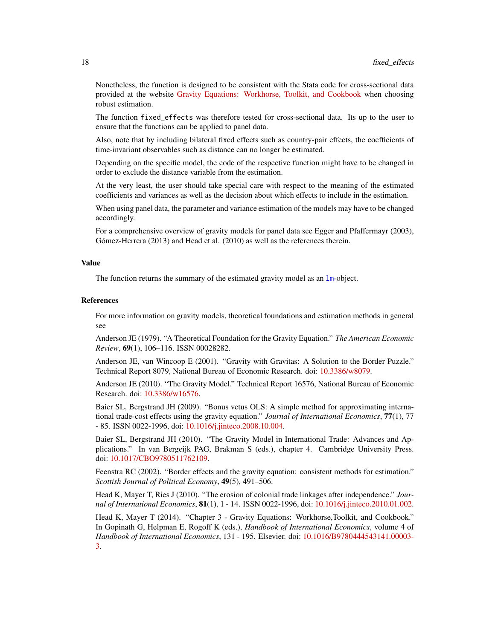<span id="page-17-0"></span>Nonetheless, the function is designed to be consistent with the Stata code for cross-sectional data provided at the website [Gravity Equations: Workhorse, Toolkit, and Cookbook](https://sites.google.com/site/hiegravity/) when choosing robust estimation.

The function fixed\_effects was therefore tested for cross-sectional data. Its up to the user to ensure that the functions can be applied to panel data.

Also, note that by including bilateral fixed effects such as country-pair effects, the coefficients of time-invariant observables such as distance can no longer be estimated.

Depending on the specific model, the code of the respective function might have to be changed in order to exclude the distance variable from the estimation.

At the very least, the user should take special care with respect to the meaning of the estimated coefficients and variances as well as the decision about which effects to include in the estimation.

When using panel data, the parameter and variance estimation of the models may have to be changed accordingly.

For a comprehensive overview of gravity models for panel data see Egger and Pfaffermayr (2003), Gómez-Herrera (2013) and Head et al. (2010) as well as the references therein.

# Value

The function returns the summary of the estimated gravity model as an [lm](#page-0-0)-object.

#### References

For more information on gravity models, theoretical foundations and estimation methods in general see

Anderson JE (1979). "A Theoretical Foundation for the Gravity Equation." *The American Economic Review*, 69(1), 106–116. ISSN 00028282.

Anderson JE, van Wincoop E (2001). "Gravity with Gravitas: A Solution to the Border Puzzle." Technical Report 8079, National Bureau of Economic Research. doi: [10.3386/w8079.](http://doi.org/10.3386/w8079)

Anderson JE (2010). "The Gravity Model." Technical Report 16576, National Bureau of Economic Research. doi: [10.3386/w16576.](http://doi.org/10.3386/w16576)

Baier SL, Bergstrand JH (2009). "Bonus vetus OLS: A simple method for approximating international trade-cost effects using the gravity equation." *Journal of International Economics*, 77(1), 77 - 85. ISSN 0022-1996, doi: [10.1016/j.jinteco.2008.10.004.](http://doi.org/10.1016/j.jinteco.2008.10.004)

Baier SL, Bergstrand JH (2010). "The Gravity Model in International Trade: Advances and Applications." In van Bergeijk PAG, Brakman S (eds.), chapter 4. Cambridge University Press. doi: [10.1017/CBO9780511762109.](http://doi.org/10.1017/CBO9780511762109)

Feenstra RC (2002). "Border effects and the gravity equation: consistent methods for estimation." *Scottish Journal of Political Economy*, 49(5), 491–506.

Head K, Mayer T, Ries J (2010). "The erosion of colonial trade linkages after independence." *Journal of International Economics*, 81(1), 1 - 14. ISSN 0022-1996, doi: [10.1016/j.jinteco.2010.01.002.](http://doi.org/10.1016/j.jinteco.2010.01.002)

Head K, Mayer T (2014). "Chapter 3 - Gravity Equations: Workhorse,Toolkit, and Cookbook." In Gopinath G, Helpman E, Rogoff K (eds.), *Handbook of International Economics*, volume 4 of *Handbook of International Economics*, 131 - 195. Elsevier. doi: [10.1016/B9780444543141.00003-](http://doi.org/10.1016/B978-0-444-54314-1.00003-3) [3.](http://doi.org/10.1016/B978-0-444-54314-1.00003-3)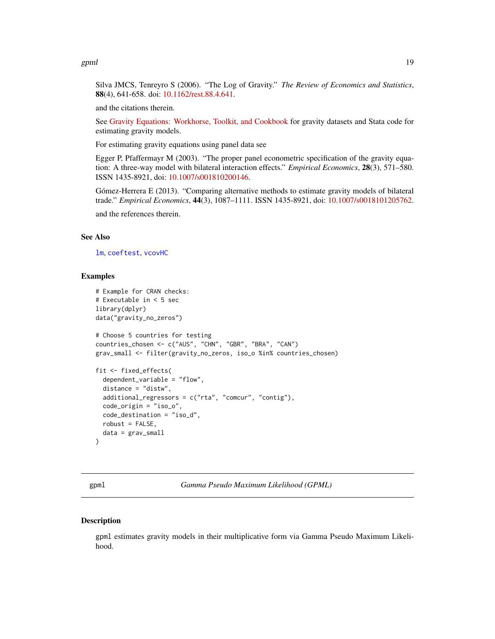<span id="page-18-0"></span>gpml to the contract of the contract of the contract of the contract of the contract of the contract of the contract of the contract of the contract of the contract of the contract of the contract of the contract of the co

Silva JMCS, Tenreyro S (2006). "The Log of Gravity." *The Review of Economics and Statistics*, 88(4), 641-658. doi: [10.1162/rest.88.4.641.](http://doi.org/10.1162/rest.88.4.641)

and the citations therein.

See [Gravity Equations: Workhorse, Toolkit, and Cookbook](https://sites.google.com/site/hiegravity/) for gravity datasets and Stata code for estimating gravity models.

For estimating gravity equations using panel data see

Egger P, Pfaffermayr M (2003). "The proper panel econometric specification of the gravity equation: A three-way model with bilateral interaction effects." *Empirical Economics*, 28(3), 571–580. ISSN 1435-8921, doi: [10.1007/s001810200146.](http://doi.org/10.1007/s001810200146)

Gómez-Herrera E (2013). "Comparing alternative methods to estimate gravity models of bilateral trade." *Empirical Economics*, 44(3), 1087–1111. ISSN 1435-8921, doi: [10.1007/s0018101205762.](http://doi.org/10.1007/s00181-012-0576-2)

and the references therein.

# See Also

[lm](#page-0-0), [coeftest](#page-0-0), [vcovHC](#page-0-0)

#### Examples

```
# Example for CRAN checks:
# Executable in < 5 sec
library(dplyr)
data("gravity_no_zeros")
# Choose 5 countries for testing
countries_chosen <- c("AUS", "CHN", "GBR", "BRA", "CAN")
grav_small <- filter(gravity_no_zeros, iso_o %in% countries_chosen)
fit <- fixed_effects(
  dependent_variable = "flow",
  distance = "distw",
  additional_regressors = c("rta", "comcur", "contig"),
  code_origin = "iso_o",
  code_destination = "iso_d",
  robust = FALSE,
  data = grav_small
)
```
<span id="page-18-1"></span>gpml *Gamma Pseudo Maximum Likelihood (GPML)*

#### **Description**

gpml estimates gravity models in their multiplicative form via Gamma Pseudo Maximum Likelihood.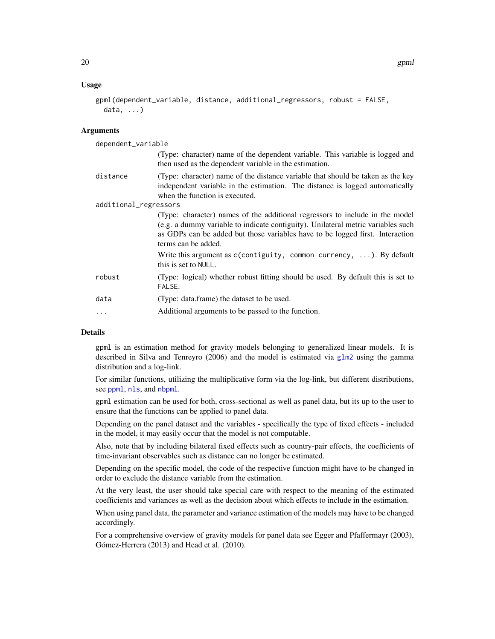# <span id="page-19-0"></span>Usage

```
gpml(dependent_variable, distance, additional_regressors, robust = FALSE,
 data, ...)
```
# **Arguments**

| dependent_variable    |                                                                                                                                                                                                                                                                          |
|-----------------------|--------------------------------------------------------------------------------------------------------------------------------------------------------------------------------------------------------------------------------------------------------------------------|
|                       | (Type: character) name of the dependent variable. This variable is logged and<br>then used as the dependent variable in the estimation.                                                                                                                                  |
| distance              | (Type: character) name of the distance variable that should be taken as the key<br>independent variable in the estimation. The distance is logged automatically<br>when the function is executed.                                                                        |
| additional_regressors |                                                                                                                                                                                                                                                                          |
|                       | (Type: character) names of the additional regressors to include in the model<br>(e.g. a dummy variable to indicate contiguity). Unilateral metric variables such<br>as GDPs can be added but those variables have to be logged first. Interaction<br>terms can be added. |
|                       | Write this argument as $c$ (contiguity, common currency, ). By default<br>this is set to NULL.                                                                                                                                                                           |
| robust                | (Type: logical) whether robust fitting should be used. By default this is set to<br>FALSE.                                                                                                                                                                               |
| data                  | (Type: data.frame) the dataset to be used.                                                                                                                                                                                                                               |
| $\ddotsc$             | Additional arguments to be passed to the function.                                                                                                                                                                                                                       |

# Details

gpml is an estimation method for gravity models belonging to generalized linear models. It is described in Silva and Tenreyro (2006) and the model is estimated via [glm2](#page-0-0) using the gamma distribution and a log-link.

For similar functions, utilizing the multiplicative form via the log-link, but different distributions, see [ppml](#page-33-1), [nls](#page-28-1), and [nbpml](#page-25-1).

gpml estimation can be used for both, cross-sectional as well as panel data, but its up to the user to ensure that the functions can be applied to panel data.

Depending on the panel dataset and the variables - specifically the type of fixed effects - included in the model, it may easily occur that the model is not computable.

Also, note that by including bilateral fixed effects such as country-pair effects, the coefficients of time-invariant observables such as distance can no longer be estimated.

Depending on the specific model, the code of the respective function might have to be changed in order to exclude the distance variable from the estimation.

At the very least, the user should take special care with respect to the meaning of the estimated coefficients and variances as well as the decision about which effects to include in the estimation.

When using panel data, the parameter and variance estimation of the models may have to be changed accordingly.

For a comprehensive overview of gravity models for panel data see Egger and Pfaffermayr (2003), Gómez-Herrera (2013) and Head et al. (2010).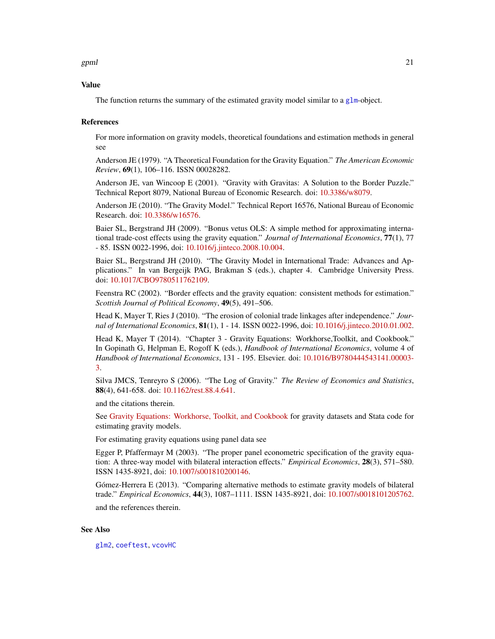<span id="page-20-0"></span>gpml 21

# Value

The function returns the summary of the estimated gravity model similar to a [glm](#page-0-0)-object.

# References

For more information on gravity models, theoretical foundations and estimation methods in general see

Anderson JE (1979). "A Theoretical Foundation for the Gravity Equation." *The American Economic Review*, 69(1), 106–116. ISSN 00028282.

Anderson JE, van Wincoop E (2001). "Gravity with Gravitas: A Solution to the Border Puzzle." Technical Report 8079, National Bureau of Economic Research. doi: [10.3386/w8079.](http://doi.org/10.3386/w8079)

Anderson JE (2010). "The Gravity Model." Technical Report 16576, National Bureau of Economic Research. doi: [10.3386/w16576.](http://doi.org/10.3386/w16576)

Baier SL, Bergstrand JH (2009). "Bonus vetus OLS: A simple method for approximating international trade-cost effects using the gravity equation." *Journal of International Economics*, 77(1), 77 - 85. ISSN 0022-1996, doi: [10.1016/j.jinteco.2008.10.004.](http://doi.org/10.1016/j.jinteco.2008.10.004)

Baier SL, Bergstrand JH (2010). "The Gravity Model in International Trade: Advances and Applications." In van Bergeijk PAG, Brakman S (eds.), chapter 4. Cambridge University Press. doi: [10.1017/CBO9780511762109.](http://doi.org/10.1017/CBO9780511762109)

Feenstra RC (2002). "Border effects and the gravity equation: consistent methods for estimation." *Scottish Journal of Political Economy*, 49(5), 491–506.

Head K, Mayer T, Ries J (2010). "The erosion of colonial trade linkages after independence." *Journal of International Economics*, 81(1), 1 - 14. ISSN 0022-1996, doi: [10.1016/j.jinteco.2010.01.002.](http://doi.org/10.1016/j.jinteco.2010.01.002)

Head K, Mayer T (2014). "Chapter 3 - Gravity Equations: Workhorse,Toolkit, and Cookbook." In Gopinath G, Helpman E, Rogoff K (eds.), *Handbook of International Economics*, volume 4 of *Handbook of International Economics*, 131 - 195. Elsevier. doi: [10.1016/B9780444543141.00003-](http://doi.org/10.1016/B978-0-444-54314-1.00003-3) [3.](http://doi.org/10.1016/B978-0-444-54314-1.00003-3)

Silva JMCS, Tenreyro S (2006). "The Log of Gravity." *The Review of Economics and Statistics*, 88(4), 641-658. doi: [10.1162/rest.88.4.641.](http://doi.org/10.1162/rest.88.4.641)

and the citations therein.

See [Gravity Equations: Workhorse, Toolkit, and Cookbook](https://sites.google.com/site/hiegravity/) for gravity datasets and Stata code for estimating gravity models.

For estimating gravity equations using panel data see

Egger P, Pfaffermayr M (2003). "The proper panel econometric specification of the gravity equation: A three-way model with bilateral interaction effects." *Empirical Economics*, 28(3), 571–580. ISSN 1435-8921, doi: [10.1007/s001810200146.](http://doi.org/10.1007/s001810200146)

Gómez-Herrera E (2013). "Comparing alternative methods to estimate gravity models of bilateral trade." *Empirical Economics*, 44(3), 1087–1111. ISSN 1435-8921, doi: [10.1007/s0018101205762.](http://doi.org/10.1007/s00181-012-0576-2)

and the references therein.

#### See Also

[glm2](#page-0-0), [coeftest](#page-0-0), [vcovHC](#page-0-0)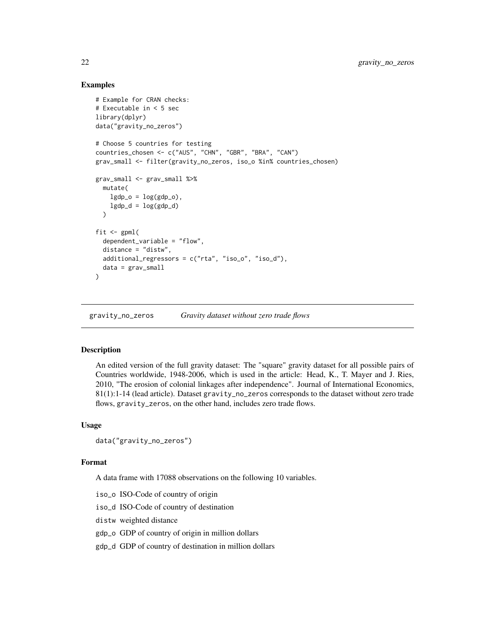# <span id="page-21-0"></span>Examples

```
# Example for CRAN checks:
# Executable in < 5 sec
library(dplyr)
data("gravity_no_zeros")
# Choose 5 countries for testing
countries_chosen <- c("AUS", "CHN", "GBR", "BRA", "CAN")
grav_small <- filter(gravity_no_zeros, iso_o %in% countries_chosen)
grav_small <- grav_small %>%
 mutate(
   lgdp_0 = log(gdp_0),
   lgdp_d = log(gdp_d))
fit \leq gpml(
  dependent_variable = "flow",
  distance = "distw",
  additional_regressors = c("rta", "iso_o", "iso_d"),
  data = grav_small
)
```
gravity\_no\_zeros *Gravity dataset without zero trade flows*

# Description

An edited version of the full gravity dataset: The "square" gravity dataset for all possible pairs of Countries worldwide, 1948-2006, which is used in the article: Head, K., T. Mayer and J. Ries, 2010, "The erosion of colonial linkages after independence". Journal of International Economics, 81(1):1-14 (lead article). Dataset gravity\_no\_zeros corresponds to the dataset without zero trade flows, gravity\_zeros, on the other hand, includes zero trade flows.

# Usage

```
data("gravity_no_zeros")
```
#### Format

A data frame with 17088 observations on the following 10 variables.

iso\_o ISO-Code of country of origin

iso\_d ISO-Code of country of destination

distw weighted distance

gdp\_o GDP of country of origin in million dollars

gdp\_d GDP of country of destination in million dollars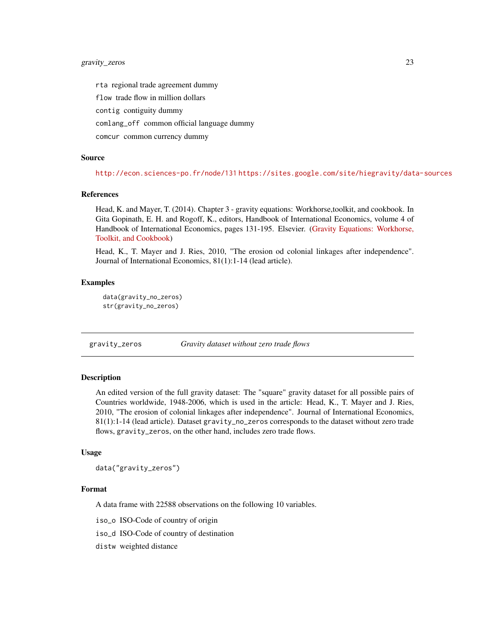<span id="page-22-0"></span>rta regional trade agreement dummy

flow trade flow in million dollars

contig contiguity dummy

comlang\_off common official language dummy

comcur common currency dummy

# Source

<http://econ.sciences-po.fr/node/131> <https://sites.google.com/site/hiegravity/data-sources>

# References

Head, K. and Mayer, T. (2014). Chapter 3 - gravity equations: Workhorse,toolkit, and cookbook. In Gita Gopinath, E. H. and Rogoff, K., editors, Handbook of International Economics, volume 4 of Handbook of International Economics, pages 131-195. Elsevier. [\(Gravity Equations: Workhorse,](https://sites.google.com/site/hiegravity/) [Toolkit, and Cookbook\)](https://sites.google.com/site/hiegravity/)

Head, K., T. Mayer and J. Ries, 2010, "The erosion od colonial linkages after independence". Journal of International Economics, 81(1):1-14 (lead article).

#### Examples

```
data(gravity_no_zeros)
str(gravity_no_zeros)
```
gravity\_zeros *Gravity dataset without zero trade flows*

# Description

An edited version of the full gravity dataset: The "square" gravity dataset for all possible pairs of Countries worldwide, 1948-2006, which is used in the article: Head, K., T. Mayer and J. Ries, 2010, "The erosion of colonial linkages after independence". Journal of International Economics, 81(1):1-14 (lead article). Dataset gravity\_no\_zeros corresponds to the dataset without zero trade flows, gravity\_zeros, on the other hand, includes zero trade flows.

# Usage

```
data("gravity_zeros")
```
#### Format

A data frame with 22588 observations on the following 10 variables.

iso\_o ISO-Code of country of origin

iso\_d ISO-Code of country of destination

distw weighted distance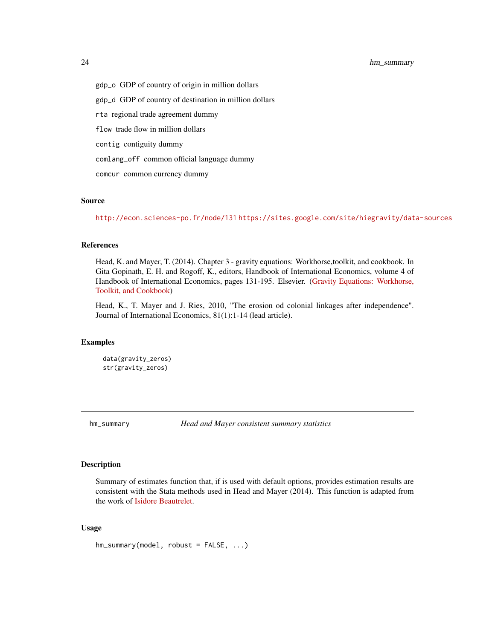<span id="page-23-0"></span>24 hm\_summary

gdp\_o GDP of country of origin in million dollars

gdp\_d GDP of country of destination in million dollars

rta regional trade agreement dummy

flow trade flow in million dollars

contig contiguity dummy

comlang\_off common official language dummy

comcur common currency dummy

# Source

<http://econ.sciences-po.fr/node/131> <https://sites.google.com/site/hiegravity/data-sources>

# References

Head, K. and Mayer, T. (2014). Chapter 3 - gravity equations: Workhorse,toolkit, and cookbook. In Gita Gopinath, E. H. and Rogoff, K., editors, Handbook of International Economics, volume 4 of Handbook of International Economics, pages 131-195. Elsevier. [\(Gravity Equations: Workhorse,](https://sites.google.com/site/hiegravity/) [Toolkit, and Cookbook\)](https://sites.google.com/site/hiegravity/)

Head, K., T. Mayer and J. Ries, 2010, "The erosion od colonial linkages after independence". Journal of International Economics, 81(1):1-14 (lead article).

# Examples

data(gravity\_zeros) str(gravity\_zeros)

hm\_summary *Head and Mayer consistent summary statistics*

# Description

Summary of estimates function that, if is used with default options, provides estimation results are consistent with the Stata methods used in Head and Mayer (2014). This function is adapted from the work of [Isidore Beautrelet.](https://github.com/IsidoreBeautrelet/)

# Usage

hm\_summary(model, robust = FALSE, ...)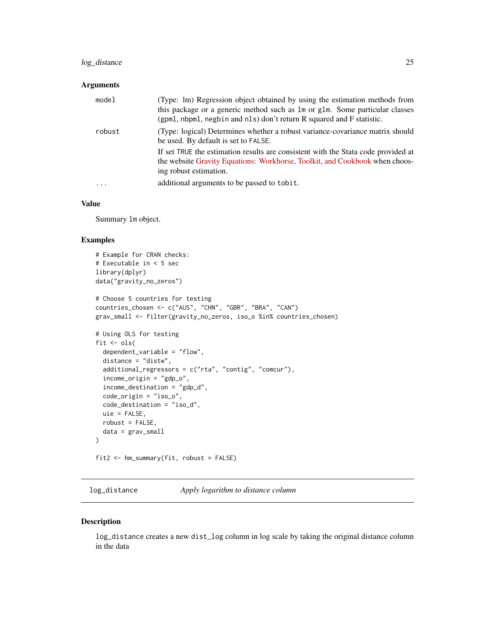# <span id="page-24-0"></span>log\_distance 25

# Arguments

| model                   | (Type: Im) Regression object obtained by using the estimation methods from<br>this package or a generic method such as 1m or g1m. Some particular classes<br>(gpml, nbpml, negbin and nls) don't return R squared and F statistic. |
|-------------------------|------------------------------------------------------------------------------------------------------------------------------------------------------------------------------------------------------------------------------------|
| robust                  | (Type: logical) Determines whether a robust variance-covariance matrix should<br>be used. By default is set to FALSE.                                                                                                              |
|                         | If set TRUE the estimation results are consistent with the Stata code provided at<br>the website Gravity Equations: Workhorse, Toolkit, and Cookbook when choos-<br>ing robust estimation.                                         |
| $\cdot$ $\cdot$ $\cdot$ | additional arguments to be passed to tobit.                                                                                                                                                                                        |

# Value

Summary lm object.

#### Examples

```
# Example for CRAN checks:
# Executable in < 5 sec
library(dplyr)
data("gravity_no_zeros")
# Choose 5 countries for testing
countries_chosen <- c("AUS", "CHN", "GBR", "BRA", "CAN")
grav_small <- filter(gravity_no_zeros, iso_o %in% countries_chosen)
# Using OLS for testing
fit \le ols(
  dependent_variable = "flow",
  distance = "distw",
  additional_regressors = c("rta", "contig", "comcur"),
  income_origin = "gdp_o",
  income_destination = "gdp_d",
  code_origin = "iso_o",
  code_destination = "iso_d",
  uie = FALSE,
  robust = FALSE,
  data = grav_small
)
fit2 <- hm_summary(fit, robust = FALSE)
```
log\_distance *Apply logarithm to distance column*

#### Description

log\_distance creates a new dist\_log column in log scale by taking the original distance column in the data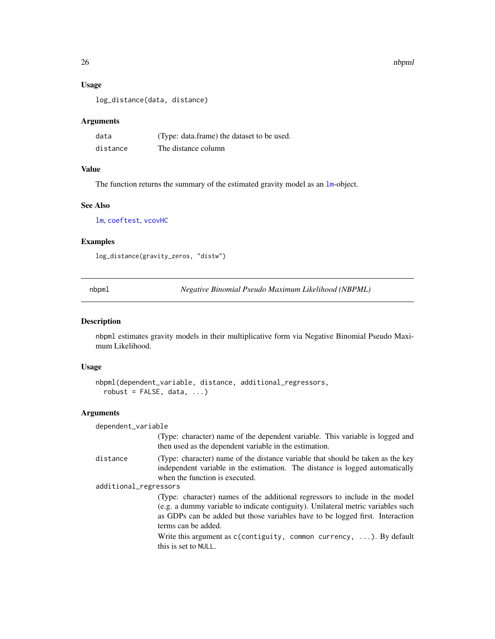# Usage

log\_distance(data, distance)

#### Arguments

| data     | (Type: data.frame) the dataset to be used. |
|----------|--------------------------------------------|
| distance | The distance column                        |

# Value

The function returns the summary of the estimated gravity model as an  $lm$ -object.

#### See Also

[lm](#page-0-0), [coeftest](#page-0-0), [vcovHC](#page-0-0)

#### Examples

log\_distance(gravity\_zeros, "distw")

<span id="page-25-1"></span>nbpml *Negative Binomial Pseudo Maximum Likelihood (NBPML)*

#### **Description**

nbpml estimates gravity models in their multiplicative form via Negative Binomial Pseudo Maximum Likelihood.

## Usage

```
nbpml(dependent_variable, distance, additional_regressors,
  robust = FALSE, data, ...
```
# Arguments

# dependent\_variable (Type: character) name of the dependent variable. This variable is logged and then used as the dependent variable in the estimation. distance (Type: character) name of the distance variable that should be taken as the key independent variable in the estimation. The distance is logged automatically when the function is executed. additional\_regressors (Type: character) names of the additional regressors to include in the model (e.g. a dummy variable to indicate contiguity). Unilateral metric variables such as GDPs can be added but those variables have to be logged first. Interaction terms can be added.

Write this argument as c(contiguity, common currency, ...). By default this is set to NULL.

<span id="page-25-0"></span>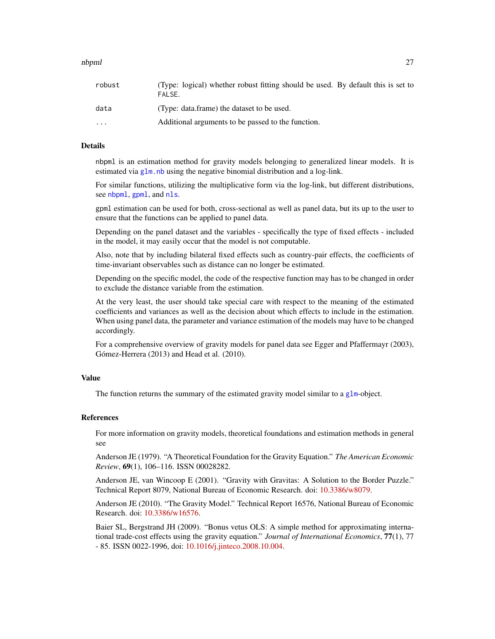#### <span id="page-26-0"></span>nbpml 27 (2012) 27 (2013) 28 (2014) 28 (2014) 28 (2014) 28 (2014) 29 (2014) 29 (2014) 29 (2014) 29 (2014) 29 (20

| robust                  | (Type: logical) whether robust fitting should be used. By default this is set to<br>FALSE. |
|-------------------------|--------------------------------------------------------------------------------------------|
| data                    | (Type: data.frame) the dataset to be used.                                                 |
| $\cdot$ $\cdot$ $\cdot$ | Additional arguments to be passed to the function.                                         |

# **Details**

nbpml is an estimation method for gravity models belonging to generalized linear models. It is estimated via  $g \ln n$  h using the negative binomial distribution and a log-link.

For similar functions, utilizing the multiplicative form via the log-link, but different distributions, see [nbpml](#page-25-1), [gpml](#page-18-1), and [nls](#page-28-1).

gpml estimation can be used for both, cross-sectional as well as panel data, but its up to the user to ensure that the functions can be applied to panel data.

Depending on the panel dataset and the variables - specifically the type of fixed effects - included in the model, it may easily occur that the model is not computable.

Also, note that by including bilateral fixed effects such as country-pair effects, the coefficients of time-invariant observables such as distance can no longer be estimated.

Depending on the specific model, the code of the respective function may has to be changed in order to exclude the distance variable from the estimation.

At the very least, the user should take special care with respect to the meaning of the estimated coefficients and variances as well as the decision about which effects to include in the estimation. When using panel data, the parameter and variance estimation of the models may have to be changed accordingly.

For a comprehensive overview of gravity models for panel data see Egger and Pfaffermayr (2003), Gómez-Herrera (2013) and Head et al. (2010).

# Value

The function returns the summary of the estimated gravity model similar to a g $1$ m-object.

## References

For more information on gravity models, theoretical foundations and estimation methods in general see

Anderson JE (1979). "A Theoretical Foundation for the Gravity Equation." *The American Economic Review*, 69(1), 106–116. ISSN 00028282.

Anderson JE, van Wincoop E (2001). "Gravity with Gravitas: A Solution to the Border Puzzle." Technical Report 8079, National Bureau of Economic Research. doi: [10.3386/w8079.](http://doi.org/10.3386/w8079)

Anderson JE (2010). "The Gravity Model." Technical Report 16576, National Bureau of Economic Research. doi: [10.3386/w16576.](http://doi.org/10.3386/w16576)

Baier SL, Bergstrand JH (2009). "Bonus vetus OLS: A simple method for approximating international trade-cost effects using the gravity equation." *Journal of International Economics*, 77(1), 77 - 85. ISSN 0022-1996, doi: [10.1016/j.jinteco.2008.10.004.](http://doi.org/10.1016/j.jinteco.2008.10.004)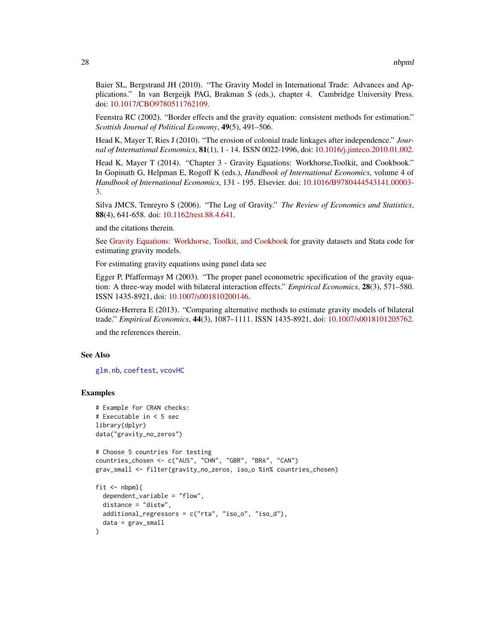Baier SL, Bergstrand JH (2010). "The Gravity Model in International Trade: Advances and Applications." In van Bergeijk PAG, Brakman S (eds.), chapter 4. Cambridge University Press. doi: [10.1017/CBO9780511762109.](http://doi.org/10.1017/CBO9780511762109)

Feenstra RC (2002). "Border effects and the gravity equation: consistent methods for estimation." *Scottish Journal of Political Economy*, 49(5), 491–506.

Head K, Mayer T, Ries J (2010). "The erosion of colonial trade linkages after independence." *Journal of International Economics*, 81(1), 1 - 14. ISSN 0022-1996, doi: [10.1016/j.jinteco.2010.01.002.](http://doi.org/10.1016/j.jinteco.2010.01.002)

Head K, Mayer T (2014). "Chapter 3 - Gravity Equations: Workhorse,Toolkit, and Cookbook." In Gopinath G, Helpman E, Rogoff K (eds.), *Handbook of International Economics*, volume 4 of *Handbook of International Economics*, 131 - 195. Elsevier. doi: [10.1016/B9780444543141.00003-](http://doi.org/10.1016/B978-0-444-54314-1.00003-3) [3.](http://doi.org/10.1016/B978-0-444-54314-1.00003-3)

Silva JMCS, Tenreyro S (2006). "The Log of Gravity." *The Review of Economics and Statistics*, 88(4), 641-658. doi: [10.1162/rest.88.4.641.](http://doi.org/10.1162/rest.88.4.641)

and the citations therein.

See [Gravity Equations: Workhorse, Toolkit, and Cookbook](https://sites.google.com/site/hiegravity/) for gravity datasets and Stata code for estimating gravity models.

For estimating gravity equations using panel data see

Egger P, Pfaffermayr M (2003). "The proper panel econometric specification of the gravity equation: A three-way model with bilateral interaction effects." *Empirical Economics*, 28(3), 571–580. ISSN 1435-8921, doi: [10.1007/s001810200146.](http://doi.org/10.1007/s001810200146)

Gómez-Herrera E (2013). "Comparing alternative methods to estimate gravity models of bilateral trade." *Empirical Economics*, 44(3), 1087–1111. ISSN 1435-8921, doi: [10.1007/s0018101205762.](http://doi.org/10.1007/s00181-012-0576-2)

and the references therein.

# See Also

[glm.nb](#page-0-0), [coeftest](#page-0-0), [vcovHC](#page-0-0)

# Examples

```
# Example for CRAN checks:
# Executable in < 5 sec
library(dplyr)
data("gravity_no_zeros")
# Choose 5 countries for testing
countries_chosen <- c("AUS", "CHN", "GBR", "BRA", "CAN")
grav_small <- filter(gravity_no_zeros, iso_o %in% countries_chosen)
fit \leq nbpml(
 dependent_variable = "flow",
 distance = "distw",
 additional_regressors = c("rta", "iso_o", "iso_d"),
 data = grav_small
\lambda
```
<span id="page-27-0"></span>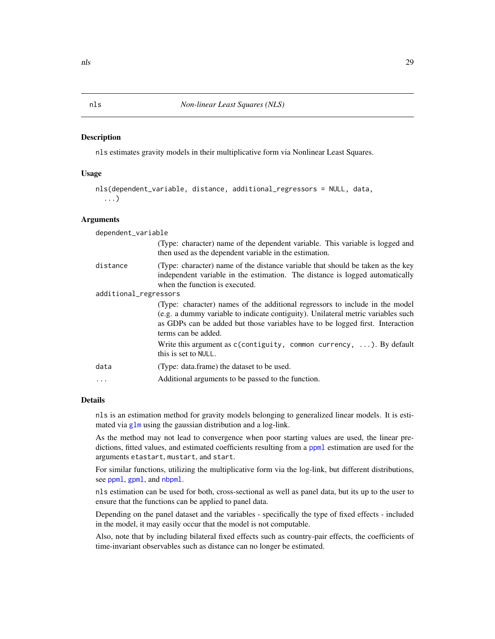# <span id="page-28-1"></span><span id="page-28-0"></span>**Description**

nls estimates gravity models in their multiplicative form via Nonlinear Least Squares.

# Usage

```
nls(dependent_variable, distance, additional_regressors = NULL, data,
  ...)
```
# Arguments

| dependent_variable    |                                                                                                                                                                                                                                                                                                                                                    |  |
|-----------------------|----------------------------------------------------------------------------------------------------------------------------------------------------------------------------------------------------------------------------------------------------------------------------------------------------------------------------------------------------|--|
|                       | (Type: character) name of the dependent variable. This variable is logged and<br>then used as the dependent variable in the estimation.                                                                                                                                                                                                            |  |
| distance              | (Type: character) name of the distance variable that should be taken as the key<br>independent variable in the estimation. The distance is logged automatically<br>when the function is executed.                                                                                                                                                  |  |
| additional_regressors |                                                                                                                                                                                                                                                                                                                                                    |  |
|                       | (Type: character) names of the additional regressors to include in the model<br>(e.g. a dummy variable to indicate contiguity). Unilateral metric variables such<br>as GDPs can be added but those variables have to be logged first. Interaction<br>terms can be added.<br>Write this argument as $c$ (contiguity, common currency, ). By default |  |
|                       | this is set to NULL.                                                                                                                                                                                                                                                                                                                               |  |
| data                  | (Type: data.frame) the dataset to be used.                                                                                                                                                                                                                                                                                                         |  |
| .                     | Additional arguments to be passed to the function.                                                                                                                                                                                                                                                                                                 |  |

# Details

nls is an estimation method for gravity models belonging to generalized linear models. It is estimated via [glm](#page-0-0) using the gaussian distribution and a log-link.

As the method may not lead to convergence when poor starting values are used, the linear predictions, fitted values, and estimated coefficients resulting from a [ppml](#page-33-1) estimation are used for the arguments etastart, mustart, and start.

For similar functions, utilizing the multiplicative form via the log-link, but different distributions, see [ppml](#page-33-1), [gpml](#page-18-1), and [nbpml](#page-25-1).

nls estimation can be used for both, cross-sectional as well as panel data, but its up to the user to ensure that the functions can be applied to panel data.

Depending on the panel dataset and the variables - specifically the type of fixed effects - included in the model, it may easily occur that the model is not computable.

Also, note that by including bilateral fixed effects such as country-pair effects, the coefficients of time-invariant observables such as distance can no longer be estimated.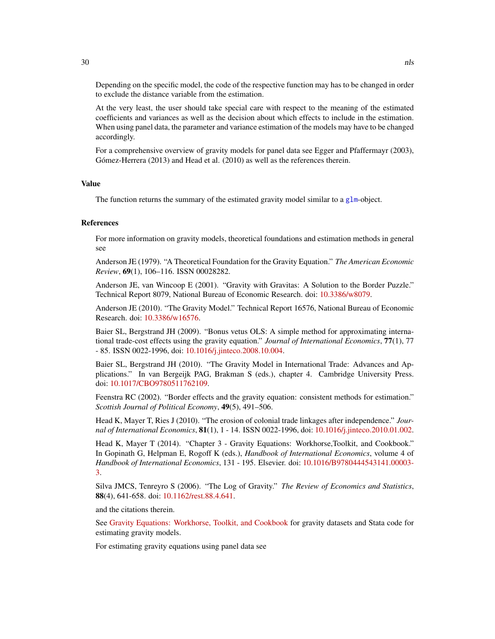Depending on the specific model, the code of the respective function may has to be changed in order to exclude the distance variable from the estimation.

At the very least, the user should take special care with respect to the meaning of the estimated coefficients and variances as well as the decision about which effects to include in the estimation. When using panel data, the parameter and variance estimation of the models may have to be changed accordingly.

For a comprehensive overview of gravity models for panel data see Egger and Pfaffermayr (2003), Gómez-Herrera (2013) and Head et al. (2010) as well as the references therein.

#### Value

The function returns the summary of the estimated gravity model similar to a [glm](#page-0-0)-object.

#### References

For more information on gravity models, theoretical foundations and estimation methods in general see

Anderson JE (1979). "A Theoretical Foundation for the Gravity Equation." *The American Economic Review*, 69(1), 106–116. ISSN 00028282.

Anderson JE, van Wincoop E (2001). "Gravity with Gravitas: A Solution to the Border Puzzle." Technical Report 8079, National Bureau of Economic Research. doi: [10.3386/w8079.](http://doi.org/10.3386/w8079)

Anderson JE (2010). "The Gravity Model." Technical Report 16576, National Bureau of Economic Research. doi: [10.3386/w16576.](http://doi.org/10.3386/w16576)

Baier SL, Bergstrand JH (2009). "Bonus vetus OLS: A simple method for approximating international trade-cost effects using the gravity equation." *Journal of International Economics*, 77(1), 77 - 85. ISSN 0022-1996, doi: [10.1016/j.jinteco.2008.10.004.](http://doi.org/10.1016/j.jinteco.2008.10.004)

Baier SL, Bergstrand JH (2010). "The Gravity Model in International Trade: Advances and Applications." In van Bergeijk PAG, Brakman S (eds.), chapter 4. Cambridge University Press. doi: [10.1017/CBO9780511762109.](http://doi.org/10.1017/CBO9780511762109)

Feenstra RC (2002). "Border effects and the gravity equation: consistent methods for estimation." *Scottish Journal of Political Economy*, 49(5), 491–506.

Head K, Mayer T, Ries J (2010). "The erosion of colonial trade linkages after independence." *Journal of International Economics*, 81(1), 1 - 14. ISSN 0022-1996, doi: [10.1016/j.jinteco.2010.01.002.](http://doi.org/10.1016/j.jinteco.2010.01.002)

Head K, Mayer T (2014). "Chapter 3 - Gravity Equations: Workhorse,Toolkit, and Cookbook." In Gopinath G, Helpman E, Rogoff K (eds.), *Handbook of International Economics*, volume 4 of *Handbook of International Economics*, 131 - 195. Elsevier. doi: [10.1016/B9780444543141.00003-](http://doi.org/10.1016/B978-0-444-54314-1.00003-3) [3.](http://doi.org/10.1016/B978-0-444-54314-1.00003-3)

Silva JMCS, Tenreyro S (2006). "The Log of Gravity." *The Review of Economics and Statistics*, 88(4), 641-658. doi: [10.1162/rest.88.4.641.](http://doi.org/10.1162/rest.88.4.641)

and the citations therein.

See [Gravity Equations: Workhorse, Toolkit, and Cookbook](https://sites.google.com/site/hiegravity/) for gravity datasets and Stata code for estimating gravity models.

For estimating gravity equations using panel data see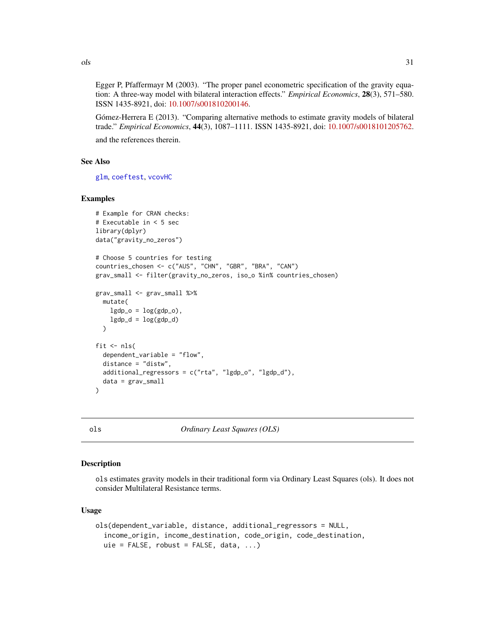Egger P, Pfaffermayr M (2003). "The proper panel econometric specification of the gravity equation: A three-way model with bilateral interaction effects." *Empirical Economics*, 28(3), 571–580. ISSN 1435-8921, doi: [10.1007/s001810200146.](http://doi.org/10.1007/s001810200146)

Gómez-Herrera E (2013). "Comparing alternative methods to estimate gravity models of bilateral trade." *Empirical Economics*, 44(3), 1087–1111. ISSN 1435-8921, doi: [10.1007/s0018101205762.](http://doi.org/10.1007/s00181-012-0576-2) and the references therein.

# See Also

[glm](#page-0-0), [coeftest](#page-0-0), [vcovHC](#page-0-0)

# Examples

```
# Example for CRAN checks:
# Executable in < 5 sec
library(dplyr)
data("gravity_no_zeros")
# Choose 5 countries for testing
countries_chosen <- c("AUS", "CHN", "GBR", "BRA", "CAN")
grav_small <- filter(gravity_no_zeros, iso_o %in% countries_chosen)
grav_small <- grav_small %>%
 mutate(
   lgdp_0 = log(gdp_0),
   lgdp_d = log(gdp_d))
fit \leftarrow nls(
 dependent_variable = "flow",
 distance = "distw",
 additional_regressors = c("rta", "lgdp_o", "lgdp_d"),
 data = grav_small
)
```
ols *Ordinary Least Squares (OLS)*

# Description

ols estimates gravity models in their traditional form via Ordinary Least Squares (ols). It does not consider Multilateral Resistance terms.

# Usage

```
ols(dependent_variable, distance, additional_regressors = NULL,
  income_origin, income_destination, code_origin, code_destination,
  uie = FALSE, robust = FALSE, data, \ldots)
```
<span id="page-30-0"></span> $\log$  31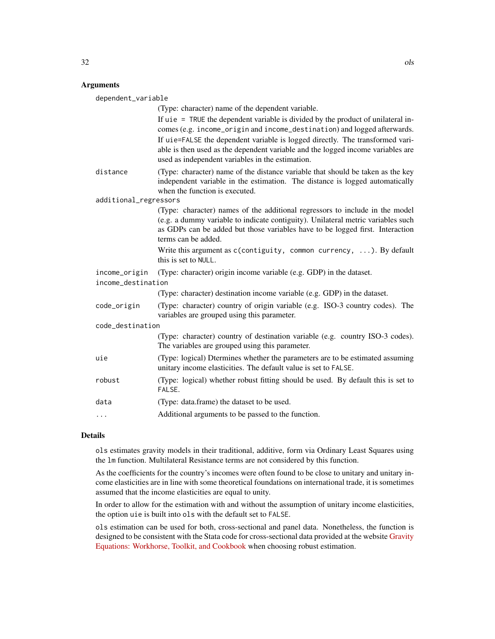# Arguments

| dependent_variable                  |                                                                                                                                                                                                                                                                                                                                                                                         |  |
|-------------------------------------|-----------------------------------------------------------------------------------------------------------------------------------------------------------------------------------------------------------------------------------------------------------------------------------------------------------------------------------------------------------------------------------------|--|
|                                     | (Type: character) name of the dependent variable.                                                                                                                                                                                                                                                                                                                                       |  |
|                                     | If $u$ ie = TRUE the dependent variable is divided by the product of unilateral in-<br>comes (e.g. income_origin and income_destination) and logged afterwards.<br>If uie=FALSE the dependent variable is logged directly. The transformed vari-<br>able is then used as the dependent variable and the logged income variables are<br>used as independent variables in the estimation. |  |
| distance                            | (Type: character) name of the distance variable that should be taken as the key<br>independent variable in the estimation. The distance is logged automatically<br>when the function is executed.                                                                                                                                                                                       |  |
| additional_regressors               |                                                                                                                                                                                                                                                                                                                                                                                         |  |
|                                     | (Type: character) names of the additional regressors to include in the model<br>(e.g. a dummy variable to indicate contiguity). Unilateral metric variables such<br>as GDPs can be added but those variables have to be logged first. Interaction<br>terms can be added.                                                                                                                |  |
|                                     | Write this argument as $c$ (contiguity, common currency, ). By default<br>this is set to NULL.                                                                                                                                                                                                                                                                                          |  |
| income_origin<br>income_destination | (Type: character) origin income variable (e.g. GDP) in the dataset.                                                                                                                                                                                                                                                                                                                     |  |
|                                     | (Type: character) destination income variable (e.g. GDP) in the dataset.                                                                                                                                                                                                                                                                                                                |  |
| code_origin                         | (Type: character) country of origin variable (e.g. ISO-3 country codes). The<br>variables are grouped using this parameter.                                                                                                                                                                                                                                                             |  |
| code_destination                    |                                                                                                                                                                                                                                                                                                                                                                                         |  |
|                                     | (Type: character) country of destination variable (e.g. country ISO-3 codes).<br>The variables are grouped using this parameter.                                                                                                                                                                                                                                                        |  |
| uie                                 | (Type: logical) Dtermines whether the parameters are to be estimated assuming<br>unitary income elasticities. The default value is set to FALSE.                                                                                                                                                                                                                                        |  |
| robust                              | (Type: logical) whether robust fitting should be used. By default this is set to<br>FALSE.                                                                                                                                                                                                                                                                                              |  |
| data                                | (Type: data.frame) the dataset to be used.                                                                                                                                                                                                                                                                                                                                              |  |
| $\cdots$                            | Additional arguments to be passed to the function.                                                                                                                                                                                                                                                                                                                                      |  |
|                                     |                                                                                                                                                                                                                                                                                                                                                                                         |  |

# Details

ols estimates gravity models in their traditional, additive, form via Ordinary Least Squares using the lm function. Multilateral Resistance terms are not considered by this function.

As the coefficients for the country's incomes were often found to be close to unitary and unitary income elasticities are in line with some theoretical foundations on international trade, it is sometimes assumed that the income elasticities are equal to unity.

In order to allow for the estimation with and without the assumption of unitary income elasticities, the option uie is built into ols with the default set to FALSE.

ols estimation can be used for both, cross-sectional and panel data. Nonetheless, the function is designed to be consistent with the Stata code for cross-sectional data provided at the website [Gravity](https://sites.google.com/site/hiegravity/) [Equations: Workhorse, Toolkit, and Cookbook](https://sites.google.com/site/hiegravity/) when choosing robust estimation.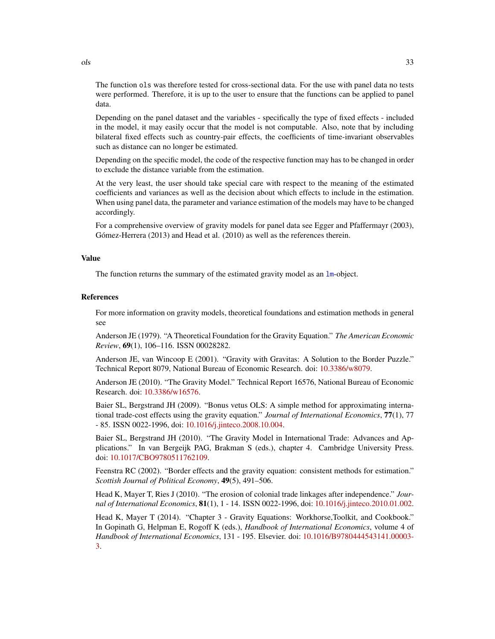The function ols was therefore tested for cross-sectional data. For the use with panel data no tests were performed. Therefore, it is up to the user to ensure that the functions can be applied to panel data.

Depending on the panel dataset and the variables - specifically the type of fixed effects - included in the model, it may easily occur that the model is not computable. Also, note that by including bilateral fixed effects such as country-pair effects, the coefficients of time-invariant observables such as distance can no longer be estimated.

Depending on the specific model, the code of the respective function may has to be changed in order to exclude the distance variable from the estimation.

At the very least, the user should take special care with respect to the meaning of the estimated coefficients and variances as well as the decision about which effects to include in the estimation. When using panel data, the parameter and variance estimation of the models may have to be changed accordingly.

For a comprehensive overview of gravity models for panel data see Egger and Pfaffermayr (2003), Gómez-Herrera (2013) and Head et al. (2010) as well as the references therein.

# Value

The function returns the summary of the estimated gravity model as an  $lm$ -object.

#### References

For more information on gravity models, theoretical foundations and estimation methods in general see

Anderson JE (1979). "A Theoretical Foundation for the Gravity Equation." *The American Economic Review*, 69(1), 106–116. ISSN 00028282.

Anderson JE, van Wincoop E (2001). "Gravity with Gravitas: A Solution to the Border Puzzle." Technical Report 8079, National Bureau of Economic Research. doi: [10.3386/w8079.](http://doi.org/10.3386/w8079)

Anderson JE (2010). "The Gravity Model." Technical Report 16576, National Bureau of Economic Research. doi: [10.3386/w16576.](http://doi.org/10.3386/w16576)

Baier SL, Bergstrand JH (2009). "Bonus vetus OLS: A simple method for approximating international trade-cost effects using the gravity equation." *Journal of International Economics*, 77(1), 77 - 85. ISSN 0022-1996, doi: [10.1016/j.jinteco.2008.10.004.](http://doi.org/10.1016/j.jinteco.2008.10.004)

Baier SL, Bergstrand JH (2010). "The Gravity Model in International Trade: Advances and Applications." In van Bergeijk PAG, Brakman S (eds.), chapter 4. Cambridge University Press. doi: [10.1017/CBO9780511762109.](http://doi.org/10.1017/CBO9780511762109)

Feenstra RC (2002). "Border effects and the gravity equation: consistent methods for estimation." *Scottish Journal of Political Economy*, 49(5), 491–506.

Head K, Mayer T, Ries J (2010). "The erosion of colonial trade linkages after independence." *Journal of International Economics*, 81(1), 1 - 14. ISSN 0022-1996, doi: [10.1016/j.jinteco.2010.01.002.](http://doi.org/10.1016/j.jinteco.2010.01.002)

Head K, Mayer T (2014). "Chapter 3 - Gravity Equations: Workhorse,Toolkit, and Cookbook." In Gopinath G, Helpman E, Rogoff K (eds.), *Handbook of International Economics*, volume 4 of *Handbook of International Economics*, 131 - 195. Elsevier. doi: [10.1016/B9780444543141.00003-](http://doi.org/10.1016/B978-0-444-54314-1.00003-3) [3.](http://doi.org/10.1016/B978-0-444-54314-1.00003-3)

<span id="page-32-0"></span>ols 33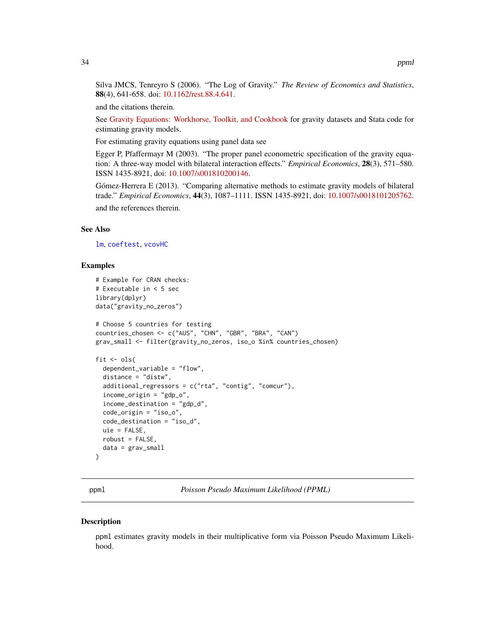<span id="page-33-0"></span>Silva JMCS, Tenreyro S (2006). "The Log of Gravity." *The Review of Economics and Statistics*, 88(4), 641-658. doi: [10.1162/rest.88.4.641.](http://doi.org/10.1162/rest.88.4.641)

and the citations therein.

See [Gravity Equations: Workhorse, Toolkit, and Cookbook](https://sites.google.com/site/hiegravity/) for gravity datasets and Stata code for estimating gravity models.

For estimating gravity equations using panel data see

Egger P, Pfaffermayr M (2003). "The proper panel econometric specification of the gravity equation: A three-way model with bilateral interaction effects." *Empirical Economics*, 28(3), 571–580. ISSN 1435-8921, doi: [10.1007/s001810200146.](http://doi.org/10.1007/s001810200146)

Gómez-Herrera E (2013). "Comparing alternative methods to estimate gravity models of bilateral trade." *Empirical Economics*, 44(3), 1087–1111. ISSN 1435-8921, doi: [10.1007/s0018101205762.](http://doi.org/10.1007/s00181-012-0576-2) and the references therein.

#### See Also

[lm](#page-0-0), [coeftest](#page-0-0), [vcovHC](#page-0-0)

#### Examples

```
# Example for CRAN checks:
# Executable in < 5 sec
library(dplyr)
data("gravity_no_zeros")
# Choose 5 countries for testing
countries_chosen <- c("AUS", "CHN", "GBR", "BRA", "CAN")
grav_small <- filter(gravity_no_zeros, iso_o %in% countries_chosen)
fit \le ols(
 dependent_variable = "flow",
 distance = "distw",
 additional_regressors = c("rta", "contig", "comcur"),
 income_origin = "gdp_o",
 income_destination = "gdp_d",
 code_origin = "iso_o",
 code_destination = "iso_d",
 uie = FALSE,
 robust = FALSE,
 data = grav_small
)
```
<span id="page-33-1"></span>

ppml *Poisson Pseudo Maximum Likelihood (PPML)*

#### **Description**

ppml estimates gravity models in their multiplicative form via Poisson Pseudo Maximum Likelihood.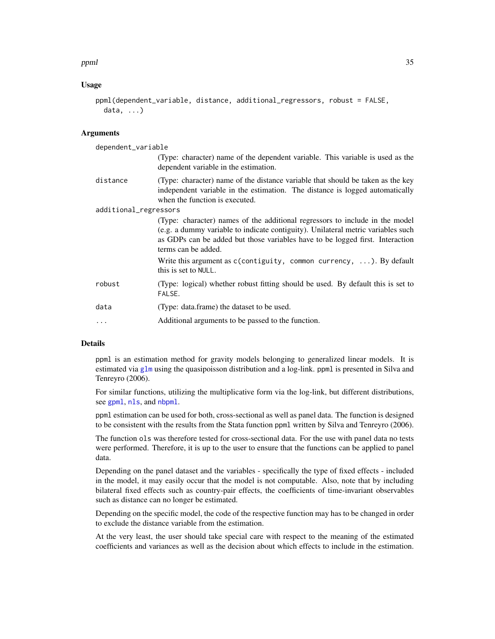#### <span id="page-34-0"></span>ppml 35

# Usage

```
ppml(dependent_variable, distance, additional_regressors, robust = FALSE,
 data, ...)
```
# Arguments

| dependent_variable    |                                                                                                                                                                                                                                                                          |
|-----------------------|--------------------------------------------------------------------------------------------------------------------------------------------------------------------------------------------------------------------------------------------------------------------------|
|                       | (Type: character) name of the dependent variable. This variable is used as the<br>dependent variable in the estimation.                                                                                                                                                  |
| distance              | (Type: character) name of the distance variable that should be taken as the key<br>independent variable in the estimation. The distance is logged automatically<br>when the function is executed.                                                                        |
| additional_regressors |                                                                                                                                                                                                                                                                          |
|                       | (Type: character) names of the additional regressors to include in the model<br>(e.g. a dummy variable to indicate contiguity). Unilateral metric variables such<br>as GDPs can be added but those variables have to be logged first. Interaction<br>terms can be added. |
|                       | Write this argument as $c$ (contiguity, common currency, ). By default<br>this is set to NULL.                                                                                                                                                                           |
| robust                | (Type: logical) whether robust fitting should be used. By default this is set to<br>FALSE.                                                                                                                                                                               |
| data                  | (Type: data.frame) the dataset to be used.                                                                                                                                                                                                                               |
| $\ddots$ .            | Additional arguments to be passed to the function.                                                                                                                                                                                                                       |

# Details

ppml is an estimation method for gravity models belonging to generalized linear models. It is estimated via [glm](#page-0-0) using the quasipoisson distribution and a log-link. ppml is presented in Silva and Tenreyro (2006).

For similar functions, utilizing the multiplicative form via the log-link, but different distributions, see [gpml](#page-18-1), [nls](#page-28-1), and [nbpml](#page-25-1).

ppml estimation can be used for both, cross-sectional as well as panel data. The function is designed to be consistent with the results from the Stata function ppml written by Silva and Tenreyro (2006).

The function ols was therefore tested for cross-sectional data. For the use with panel data no tests were performed. Therefore, it is up to the user to ensure that the functions can be applied to panel data.

Depending on the panel dataset and the variables - specifically the type of fixed effects - included in the model, it may easily occur that the model is not computable. Also, note that by including bilateral fixed effects such as country-pair effects, the coefficients of time-invariant observables such as distance can no longer be estimated.

Depending on the specific model, the code of the respective function may has to be changed in order to exclude the distance variable from the estimation.

At the very least, the user should take special care with respect to the meaning of the estimated coefficients and variances as well as the decision about which effects to include in the estimation.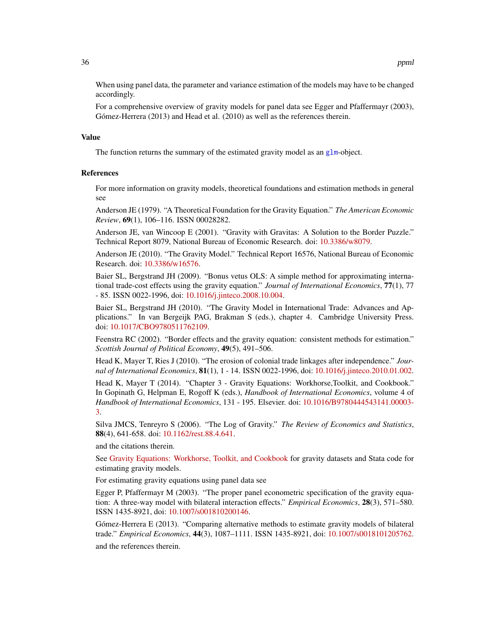When using panel data, the parameter and variance estimation of the models may have to be changed accordingly.

For a comprehensive overview of gravity models for panel data see Egger and Pfaffermayr (2003), Gómez-Herrera (2013) and Head et al. (2010) as well as the references therein.

# Value

The function returns the summary of the estimated gravity model as an [glm](#page-0-0)-object.

# References

For more information on gravity models, theoretical foundations and estimation methods in general see

Anderson JE (1979). "A Theoretical Foundation for the Gravity Equation." *The American Economic Review*, 69(1), 106–116. ISSN 00028282.

Anderson JE, van Wincoop E (2001). "Gravity with Gravitas: A Solution to the Border Puzzle." Technical Report 8079, National Bureau of Economic Research. doi: [10.3386/w8079.](http://doi.org/10.3386/w8079)

Anderson JE (2010). "The Gravity Model." Technical Report 16576, National Bureau of Economic Research. doi: [10.3386/w16576.](http://doi.org/10.3386/w16576)

Baier SL, Bergstrand JH (2009). "Bonus vetus OLS: A simple method for approximating international trade-cost effects using the gravity equation." *Journal of International Economics*, 77(1), 77 - 85. ISSN 0022-1996, doi: [10.1016/j.jinteco.2008.10.004.](http://doi.org/10.1016/j.jinteco.2008.10.004)

Baier SL, Bergstrand JH (2010). "The Gravity Model in International Trade: Advances and Applications." In van Bergeijk PAG, Brakman S (eds.), chapter 4. Cambridge University Press. doi: [10.1017/CBO9780511762109.](http://doi.org/10.1017/CBO9780511762109)

Feenstra RC (2002). "Border effects and the gravity equation: consistent methods for estimation." *Scottish Journal of Political Economy*, 49(5), 491–506.

Head K, Mayer T, Ries J (2010). "The erosion of colonial trade linkages after independence." *Journal of International Economics*, 81(1), 1 - 14. ISSN 0022-1996, doi: [10.1016/j.jinteco.2010.01.002.](http://doi.org/10.1016/j.jinteco.2010.01.002)

Head K, Mayer T (2014). "Chapter 3 - Gravity Equations: Workhorse,Toolkit, and Cookbook." In Gopinath G, Helpman E, Rogoff K (eds.), *Handbook of International Economics*, volume 4 of *Handbook of International Economics*, 131 - 195. Elsevier. doi: [10.1016/B9780444543141.00003-](http://doi.org/10.1016/B978-0-444-54314-1.00003-3) [3.](http://doi.org/10.1016/B978-0-444-54314-1.00003-3)

Silva JMCS, Tenreyro S (2006). "The Log of Gravity." *The Review of Economics and Statistics*, 88(4), 641-658. doi: [10.1162/rest.88.4.641.](http://doi.org/10.1162/rest.88.4.641)

and the citations therein.

See [Gravity Equations: Workhorse, Toolkit, and Cookbook](https://sites.google.com/site/hiegravity/) for gravity datasets and Stata code for estimating gravity models.

For estimating gravity equations using panel data see

Egger P, Pfaffermayr M (2003). "The proper panel econometric specification of the gravity equation: A three-way model with bilateral interaction effects." *Empirical Economics*, 28(3), 571–580. ISSN 1435-8921, doi: [10.1007/s001810200146.](http://doi.org/10.1007/s001810200146)

Gómez-Herrera E (2013). "Comparing alternative methods to estimate gravity models of bilateral trade." *Empirical Economics*, 44(3), 1087–1111. ISSN 1435-8921, doi: [10.1007/s0018101205762.](http://doi.org/10.1007/s00181-012-0576-2) and the references therein.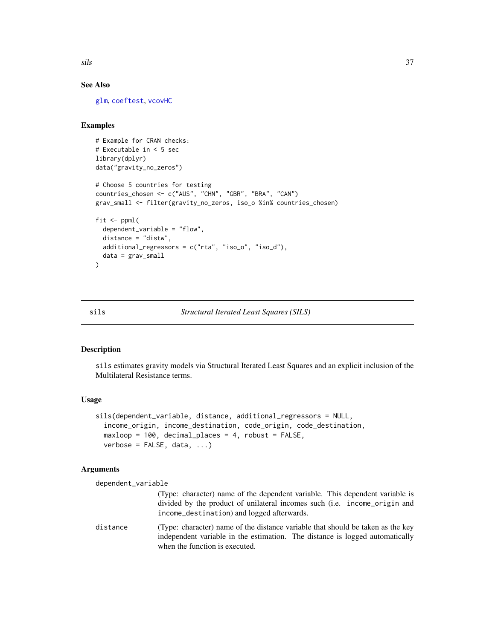<span id="page-36-0"></span>sils 37

# See Also

[glm](#page-0-0), [coeftest](#page-0-0), [vcovHC](#page-0-0)

# Examples

```
# Example for CRAN checks:
# Executable in < 5 sec
library(dplyr)
data("gravity_no_zeros")
# Choose 5 countries for testing
countries_chosen <- c("AUS", "CHN", "GBR", "BRA", "CAN")
grav_small <- filter(gravity_no_zeros, iso_o %in% countries_chosen)
fit \le ppml(
 dependent_variable = "flow",
 distance = "distw",
 additional_regressors = c("rta", "iso_o", "iso_d"),
 data = grav_small
)
```
# sils *Structural Iterated Least Squares (SILS)*

#### Description

sils estimates gravity models via Structural Iterated Least Squares and an explicit inclusion of the Multilateral Resistance terms.

# Usage

```
sils(dependent_variable, distance, additional_regressors = NULL,
  income_origin, income_destination, code_origin, code_destination,
 maxloop = 100, decimal_places = 4, robust = FALSE,
 verbose = FALSE, data, ...
```
#### Arguments

dependent\_variable

| (Type: character) name of the dependent variable. This dependent variable is |  |
|------------------------------------------------------------------------------|--|
| divided by the product of unilateral incomes such (i.e. income origin and    |  |
| income_destination) and logged afterwards.                                   |  |

distance (Type: character) name of the distance variable that should be taken as the key independent variable in the estimation. The distance is logged automatically when the function is executed.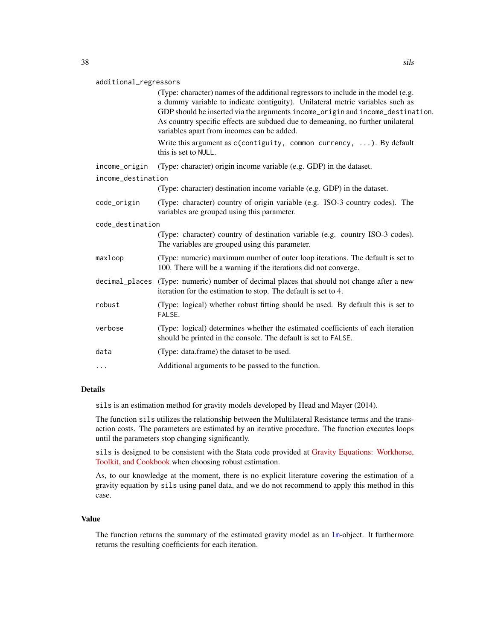#### <span id="page-37-0"></span>additional\_regressors

|                    | (Type: character) names of the additional regressors to include in the model (e.g.<br>a dummy variable to indicate contiguity). Unilateral metric variables such as<br>GDP should be inserted via the arguments income_origin and income_destination.<br>As country specific effects are subdued due to demeaning, no further unilateral<br>variables apart from incomes can be added. |
|--------------------|----------------------------------------------------------------------------------------------------------------------------------------------------------------------------------------------------------------------------------------------------------------------------------------------------------------------------------------------------------------------------------------|
|                    | Write this argument as $c$ (contiguity, common currency, ). By default<br>this is set to NULL.                                                                                                                                                                                                                                                                                         |
| income_origin      | (Type: character) origin income variable (e.g. GDP) in the dataset.                                                                                                                                                                                                                                                                                                                    |
| income_destination |                                                                                                                                                                                                                                                                                                                                                                                        |
|                    | (Type: character) destination income variable (e.g. GDP) in the dataset.                                                                                                                                                                                                                                                                                                               |
| code_origin        | (Type: character) country of origin variable (e.g. ISO-3 country codes). The<br>variables are grouped using this parameter.                                                                                                                                                                                                                                                            |
| code destination   |                                                                                                                                                                                                                                                                                                                                                                                        |
|                    | (Type: character) country of destination variable (e.g. country ISO-3 codes).<br>The variables are grouped using this parameter.                                                                                                                                                                                                                                                       |
| maxloop            | (Type: numeric) maximum number of outer loop iterations. The default is set to<br>100. There will be a warning if the iterations did not converge.                                                                                                                                                                                                                                     |
| decimal_places     | (Type: numeric) number of decimal places that should not change after a new<br>iteration for the estimation to stop. The default is set to 4.                                                                                                                                                                                                                                          |
| robust             | (Type: logical) whether robust fitting should be used. By default this is set to<br>FALSE.                                                                                                                                                                                                                                                                                             |
| verbose            | (Type: logical) determines whether the estimated coefficients of each iteration<br>should be printed in the console. The default is set to FALSE.                                                                                                                                                                                                                                      |
| data               | (Type: data.frame) the dataset to be used.                                                                                                                                                                                                                                                                                                                                             |
| .                  | Additional arguments to be passed to the function.                                                                                                                                                                                                                                                                                                                                     |
|                    |                                                                                                                                                                                                                                                                                                                                                                                        |

#### Details

sils is an estimation method for gravity models developed by Head and Mayer (2014).

The function sils utilizes the relationship between the Multilateral Resistance terms and the transaction costs. The parameters are estimated by an iterative procedure. The function executes loops until the parameters stop changing significantly.

sils is designed to be consistent with the Stata code provided at [Gravity Equations: Workhorse,](https://sites.google.com/site/hiegravity/) [Toolkit, and Cookbook](https://sites.google.com/site/hiegravity/) when choosing robust estimation.

As, to our knowledge at the moment, there is no explicit literature covering the estimation of a gravity equation by sils using panel data, and we do not recommend to apply this method in this case.

# Value

The function returns the summary of the estimated gravity model as an [lm](#page-0-0)-object. It furthermore returns the resulting coefficients for each iteration.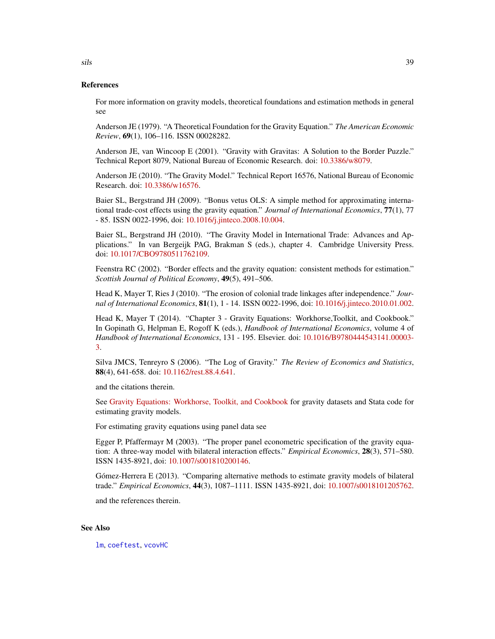# References

For more information on gravity models, theoretical foundations and estimation methods in general see

Anderson JE (1979). "A Theoretical Foundation for the Gravity Equation." *The American Economic Review*, 69(1), 106–116. ISSN 00028282.

Anderson JE, van Wincoop E (2001). "Gravity with Gravitas: A Solution to the Border Puzzle." Technical Report 8079, National Bureau of Economic Research. doi: [10.3386/w8079.](http://doi.org/10.3386/w8079)

Anderson JE (2010). "The Gravity Model." Technical Report 16576, National Bureau of Economic Research. doi: [10.3386/w16576.](http://doi.org/10.3386/w16576)

Baier SL, Bergstrand JH (2009). "Bonus vetus OLS: A simple method for approximating international trade-cost effects using the gravity equation." *Journal of International Economics*, 77(1), 77 - 85. ISSN 0022-1996, doi: [10.1016/j.jinteco.2008.10.004.](http://doi.org/10.1016/j.jinteco.2008.10.004)

Baier SL, Bergstrand JH (2010). "The Gravity Model in International Trade: Advances and Applications." In van Bergeijk PAG, Brakman S (eds.), chapter 4. Cambridge University Press. doi: [10.1017/CBO9780511762109.](http://doi.org/10.1017/CBO9780511762109)

Feenstra RC (2002). "Border effects and the gravity equation: consistent methods for estimation." *Scottish Journal of Political Economy*, 49(5), 491–506.

Head K, Mayer T, Ries J (2010). "The erosion of colonial trade linkages after independence." *Journal of International Economics*, 81(1), 1 - 14. ISSN 0022-1996, doi: [10.1016/j.jinteco.2010.01.002.](http://doi.org/10.1016/j.jinteco.2010.01.002)

Head K, Mayer T (2014). "Chapter 3 - Gravity Equations: Workhorse,Toolkit, and Cookbook." In Gopinath G, Helpman E, Rogoff K (eds.), *Handbook of International Economics*, volume 4 of *Handbook of International Economics*, 131 - 195. Elsevier. doi: [10.1016/B9780444543141.00003-](http://doi.org/10.1016/B978-0-444-54314-1.00003-3) [3.](http://doi.org/10.1016/B978-0-444-54314-1.00003-3)

Silva JMCS, Tenreyro S (2006). "The Log of Gravity." *The Review of Economics and Statistics*, 88(4), 641-658. doi: [10.1162/rest.88.4.641.](http://doi.org/10.1162/rest.88.4.641)

and the citations therein.

See [Gravity Equations: Workhorse, Toolkit, and Cookbook](https://sites.google.com/site/hiegravity/) for gravity datasets and Stata code for estimating gravity models.

For estimating gravity equations using panel data see

Egger P, Pfaffermayr M (2003). "The proper panel econometric specification of the gravity equation: A three-way model with bilateral interaction effects." *Empirical Economics*, 28(3), 571–580. ISSN 1435-8921, doi: [10.1007/s001810200146.](http://doi.org/10.1007/s001810200146)

Gómez-Herrera E (2013). "Comparing alternative methods to estimate gravity models of bilateral trade." *Empirical Economics*, 44(3), 1087–1111. ISSN 1435-8921, doi: [10.1007/s0018101205762.](http://doi.org/10.1007/s00181-012-0576-2)

and the references therein.

# See Also

[lm](#page-0-0), [coeftest](#page-0-0), [vcovHC](#page-0-0)

<span id="page-38-0"></span>sils 39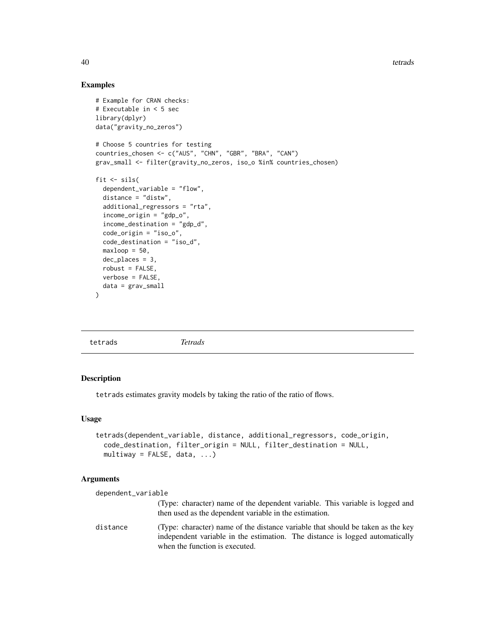# Examples

```
# Example for CRAN checks:
# Executable in < 5 sec
library(dplyr)
data("gravity_no_zeros")
# Choose 5 countries for testing
countries_chosen <- c("AUS", "CHN", "GBR", "BRA", "CAN")
grav_small <- filter(gravity_no_zeros, iso_o %in% countries_chosen)
fit \le sils(
  dependent_variable = "flow",
  distance = "distw",
  additional_regressors = "rta",
  income_origin = "gdp_o",
  income_destination = "gdp_d",
  code_origin = "iso_o",
  code_destination = "iso_d",
  maxloop = 50,
  dec_places = 3,
  robust = FALSE,verbose = FALSE,
  data = grav_small
)
```
tetrads *Tetrads*

#### Description

tetrads estimates gravity models by taking the ratio of the ratio of flows.

#### Usage

```
tetrads(dependent_variable, distance, additional_regressors, code_origin,
 code_destination, filter_origin = NULL, filter_destination = NULL,
 multiway = FALSE, data, ...)
```
# Arguments

| dependent_variable |                                                                                                                                                                                                   |
|--------------------|---------------------------------------------------------------------------------------------------------------------------------------------------------------------------------------------------|
|                    | (Type: character) name of the dependent variable. This variable is logged and<br>then used as the dependent variable in the estimation.                                                           |
| distance           | (Type: character) name of the distance variable that should be taken as the key<br>independent variable in the estimation. The distance is logged automatically<br>when the function is executed. |

<span id="page-39-0"></span>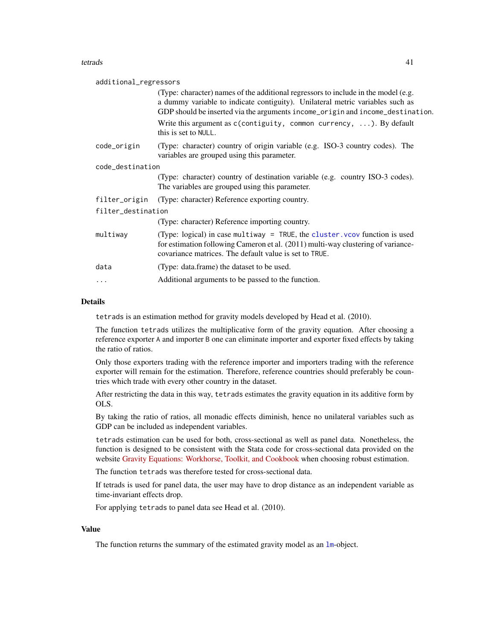#### <span id="page-40-0"></span>tetrads and the set of the set of the set of the set of the set of the set of the set of the set of the set of the set of the set of the set of the set of the set of the set of the set of the set of the set of the set of t

| additional_regressors |                                                                                                                                                                                                                                                       |  |
|-----------------------|-------------------------------------------------------------------------------------------------------------------------------------------------------------------------------------------------------------------------------------------------------|--|
|                       | (Type: character) names of the additional regressors to include in the model (e.g.<br>a dummy variable to indicate contiguity). Unilateral metric variables such as<br>GDP should be inserted via the arguments income_origin and income_destination. |  |
|                       | Write this argument as $c$ (contiguity, common currency, ). By default<br>this is set to NULL.                                                                                                                                                        |  |
| code_origin           | (Type: character) country of origin variable (e.g. ISO-3 country codes). The<br>variables are grouped using this parameter.                                                                                                                           |  |
| code_destination      |                                                                                                                                                                                                                                                       |  |
|                       | (Type: character) country of destination variable (e.g. country ISO-3 codes).<br>The variables are grouped using this parameter.                                                                                                                      |  |
| filter_origin         | (Type: character) Reference exporting country.                                                                                                                                                                                                        |  |
| filter_destination    |                                                                                                                                                                                                                                                       |  |
|                       | (Type: character) Reference importing country.                                                                                                                                                                                                        |  |
| multiway              | (Type: logical) in case multiway = TRUE, the cluster. vcov function is used<br>for estimation following Cameron et al. (2011) multi-way clustering of variance-<br>covariance matrices. The default value is set to TRUE.                             |  |
| data                  | (Type: data.frame) the dataset to be used.                                                                                                                                                                                                            |  |
| .                     | Additional arguments to be passed to the function.                                                                                                                                                                                                    |  |
|                       |                                                                                                                                                                                                                                                       |  |

#### Details

tetrads is an estimation method for gravity models developed by Head et al. (2010).

The function tetrads utilizes the multiplicative form of the gravity equation. After choosing a reference exporter A and importer B one can eliminate importer and exporter fixed effects by taking the ratio of ratios.

Only those exporters trading with the reference importer and importers trading with the reference exporter will remain for the estimation. Therefore, reference countries should preferably be countries which trade with every other country in the dataset.

After restricting the data in this way, tetrads estimates the gravity equation in its additive form by OLS.

By taking the ratio of ratios, all monadic effects diminish, hence no unilateral variables such as GDP can be included as independent variables.

tetrads estimation can be used for both, cross-sectional as well as panel data. Nonetheless, the function is designed to be consistent with the Stata code for cross-sectional data provided on the website [Gravity Equations: Workhorse, Toolkit, and Cookbook](https://sites.google.com/site/hiegravity/) when choosing robust estimation.

The function tetrads was therefore tested for cross-sectional data.

If tetrads is used for panel data, the user may have to drop distance as an independent variable as time-invariant effects drop.

For applying tetrads to panel data see Head et al. (2010).

# Value

The function returns the summary of the estimated gravity model as an  $lm$ -object.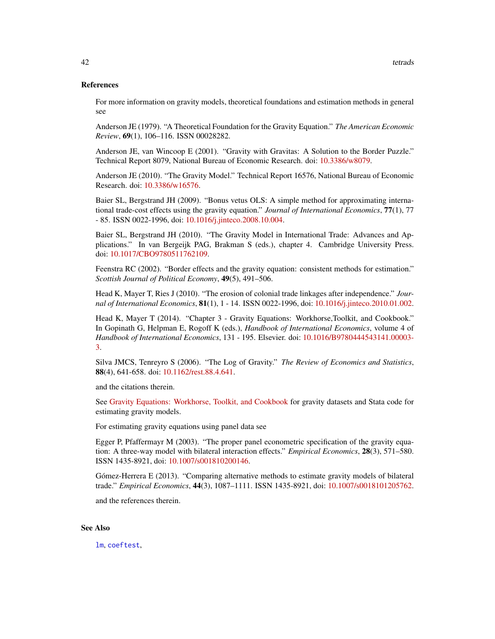### <span id="page-41-0"></span>References

For more information on gravity models, theoretical foundations and estimation methods in general see

Anderson JE (1979). "A Theoretical Foundation for the Gravity Equation." *The American Economic Review*, 69(1), 106–116. ISSN 00028282.

Anderson JE, van Wincoop E (2001). "Gravity with Gravitas: A Solution to the Border Puzzle." Technical Report 8079, National Bureau of Economic Research. doi: [10.3386/w8079.](http://doi.org/10.3386/w8079)

Anderson JE (2010). "The Gravity Model." Technical Report 16576, National Bureau of Economic Research. doi: [10.3386/w16576.](http://doi.org/10.3386/w16576)

Baier SL, Bergstrand JH (2009). "Bonus vetus OLS: A simple method for approximating international trade-cost effects using the gravity equation." *Journal of International Economics*, 77(1), 77 - 85. ISSN 0022-1996, doi: [10.1016/j.jinteco.2008.10.004.](http://doi.org/10.1016/j.jinteco.2008.10.004)

Baier SL, Bergstrand JH (2010). "The Gravity Model in International Trade: Advances and Applications." In van Bergeijk PAG, Brakman S (eds.), chapter 4. Cambridge University Press. doi: [10.1017/CBO9780511762109.](http://doi.org/10.1017/CBO9780511762109)

Feenstra RC (2002). "Border effects and the gravity equation: consistent methods for estimation." *Scottish Journal of Political Economy*, 49(5), 491–506.

Head K, Mayer T, Ries J (2010). "The erosion of colonial trade linkages after independence." *Journal of International Economics*, 81(1), 1 - 14. ISSN 0022-1996, doi: [10.1016/j.jinteco.2010.01.002.](http://doi.org/10.1016/j.jinteco.2010.01.002)

Head K, Mayer T (2014). "Chapter 3 - Gravity Equations: Workhorse,Toolkit, and Cookbook." In Gopinath G, Helpman E, Rogoff K (eds.), *Handbook of International Economics*, volume 4 of *Handbook of International Economics*, 131 - 195. Elsevier. doi: [10.1016/B9780444543141.00003-](http://doi.org/10.1016/B978-0-444-54314-1.00003-3) [3.](http://doi.org/10.1016/B978-0-444-54314-1.00003-3)

Silva JMCS, Tenreyro S (2006). "The Log of Gravity." *The Review of Economics and Statistics*, 88(4), 641-658. doi: [10.1162/rest.88.4.641.](http://doi.org/10.1162/rest.88.4.641)

and the citations therein.

See [Gravity Equations: Workhorse, Toolkit, and Cookbook](https://sites.google.com/site/hiegravity/) for gravity datasets and Stata code for estimating gravity models.

For estimating gravity equations using panel data see

Egger P, Pfaffermayr M (2003). "The proper panel econometric specification of the gravity equation: A three-way model with bilateral interaction effects." *Empirical Economics*, 28(3), 571–580. ISSN 1435-8921, doi: [10.1007/s001810200146.](http://doi.org/10.1007/s001810200146)

Gómez-Herrera E (2013). "Comparing alternative methods to estimate gravity models of bilateral trade." *Empirical Economics*, 44(3), 1087–1111. ISSN 1435-8921, doi: [10.1007/s0018101205762.](http://doi.org/10.1007/s00181-012-0576-2)

and the references therein.

# See Also

[lm](#page-0-0), [coeftest](#page-0-0),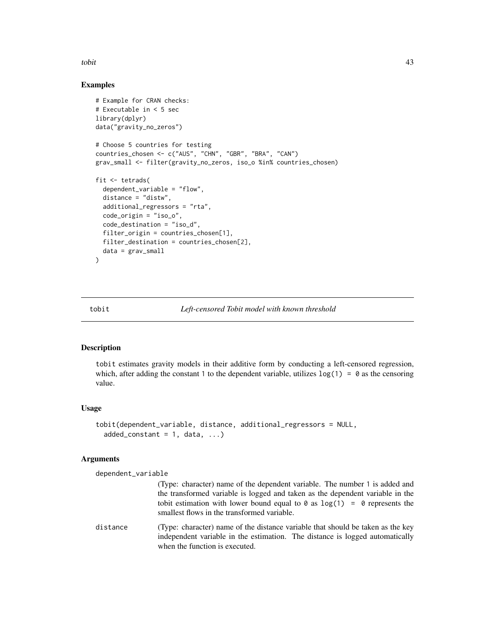<span id="page-42-0"></span>tobit 43

# Examples

```
# Example for CRAN checks:
# Executable in < 5 sec
library(dplyr)
data("gravity_no_zeros")
# Choose 5 countries for testing
countries_chosen <- c("AUS", "CHN", "GBR", "BRA", "CAN")
grav_small <- filter(gravity_no_zeros, iso_o %in% countries_chosen)
fit <- tetrads(
  dependent_variable = "flow",
  distance = "distw",
  additional_regressors = "rta",
  code_origin = "iso_o",
  code_destination = "iso_d",
  filter_origin = countries_chosen[1],
  filter_destination = countries_chosen[2],
  data = grav_small
)
```
# <span id="page-42-1"></span>tobit *Left-censored Tobit model with known threshold*

# Description

tobit estimates gravity models in their additive form by conducting a left-censored regression, which, after adding the constant 1 to the dependent variable, utilizes  $log(1) = 0$  as the censoring value.

#### Usage

```
tobit(dependent_variable, distance, additional_regressors = NULL,
  added\_constant = 1, data, ...)
```
# Arguments

dependent\_variable

|          | (Type: character) name of the dependent variable. The number 1 is added and<br>the transformed variable is logged and taken as the dependent variable in the<br>tobit estimation with lower bound equal to $\theta$ as $\log(1) = \theta$ represents the<br>smallest flows in the transformed variable. |
|----------|---------------------------------------------------------------------------------------------------------------------------------------------------------------------------------------------------------------------------------------------------------------------------------------------------------|
| distance | (Type: character) name of the distance variable that should be taken as the key<br>independent variable in the estimation. The distance is logged automatically<br>when the function is executed.                                                                                                       |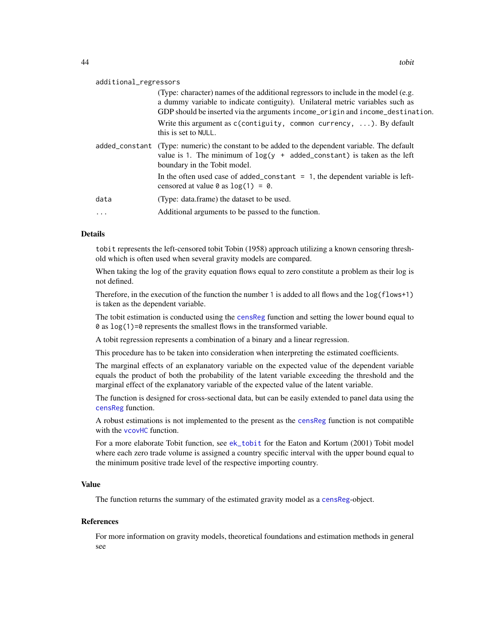<span id="page-43-0"></span>

|          | (Type: character) names of the additional regressors to include in the model (e.g.<br>a dummy variable to indicate contiguity). Unilateral metric variables such as<br>GDP should be inserted via the arguments income_origin and income_destination. |
|----------|-------------------------------------------------------------------------------------------------------------------------------------------------------------------------------------------------------------------------------------------------------|
|          | Write this argument as $c$ (contiguity, common currency, ). By default<br>this is set to NULL.                                                                                                                                                        |
|          | added_constant (Type: numeric) the constant to be added to the dependent variable. The default<br>value is 1. The minimum of $log(y + added_{constant})$ is taken as the left<br>boundary in the Tobit model.                                         |
|          | In the often used case of added_constant $= 1$ , the dependent variable is left-<br>censored at value $\theta$ as $\log(1) = \theta$ .                                                                                                                |
| data     | (Type: data.frame) the dataset to be used.                                                                                                                                                                                                            |
| $\cdots$ | Additional arguments to be passed to the function.                                                                                                                                                                                                    |
|          |                                                                                                                                                                                                                                                       |

#### Details

tobit represents the left-censored tobit Tobin (1958) approach utilizing a known censoring threshold which is often used when several gravity models are compared.

When taking the log of the gravity equation flows equal to zero constitute a problem as their log is not defined.

Therefore, in the execution of the function the number 1 is added to all flows and the log(flows+1) is taken as the dependent variable.

The tobit estimation is conducted using the [censReg](#page-0-0) function and setting the lower bound equal to  $\theta$  as  $\log(1)$ = $\theta$  represents the smallest flows in the transformed variable.

A tobit regression represents a combination of a binary and a linear regression.

This procedure has to be taken into consideration when interpreting the estimated coefficients.

The marginal effects of an explanatory variable on the expected value of the dependent variable equals the product of both the probability of the latent variable exceeding the threshold and the marginal effect of the explanatory variable of the expected value of the latent variable.

The function is designed for cross-sectional data, but can be easily extended to panel data using the [censReg](#page-0-0) function.

A robust estimations is not implemented to the present as the [censReg](#page-0-0) function is not compatible with the [vcovHC](#page-0-0) function.

For a more elaborate Tobit function, see [ek\\_tobit](#page-10-1) for the Eaton and Kortum (2001) Tobit model where each zero trade volume is assigned a country specific interval with the upper bound equal to the minimum positive trade level of the respective importing country.

# Value

The function returns the summary of the estimated gravity model as a [censReg](#page-0-0)-object.

#### References

For more information on gravity models, theoretical foundations and estimation methods in general see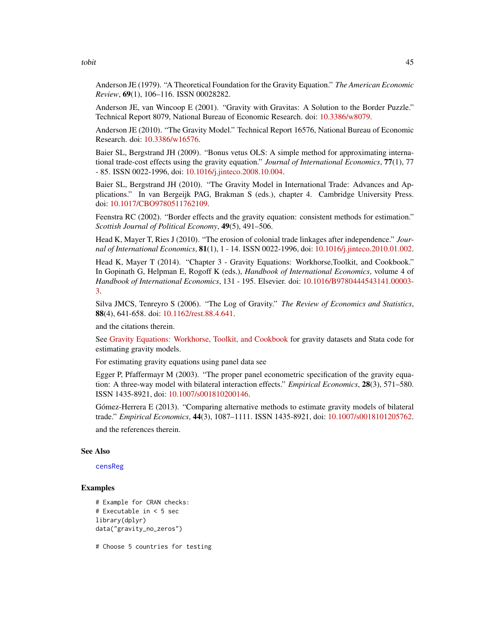<span id="page-44-0"></span>tobit the contract of the contract of the contract of the contract of the contract of the contract of the contract of the contract of the contract of the contract of the contract of the contract of the contract of the cont

Anderson JE (1979). "A Theoretical Foundation for the Gravity Equation." *The American Economic Review*, 69(1), 106–116. ISSN 00028282.

Anderson JE, van Wincoop E (2001). "Gravity with Gravitas: A Solution to the Border Puzzle." Technical Report 8079, National Bureau of Economic Research. doi: [10.3386/w8079.](http://doi.org/10.3386/w8079)

Anderson JE (2010). "The Gravity Model." Technical Report 16576, National Bureau of Economic Research. doi: [10.3386/w16576.](http://doi.org/10.3386/w16576)

Baier SL, Bergstrand JH (2009). "Bonus vetus OLS: A simple method for approximating international trade-cost effects using the gravity equation." *Journal of International Economics*, 77(1), 77 - 85. ISSN 0022-1996, doi: [10.1016/j.jinteco.2008.10.004.](http://doi.org/10.1016/j.jinteco.2008.10.004)

Baier SL, Bergstrand JH (2010). "The Gravity Model in International Trade: Advances and Applications." In van Bergeijk PAG, Brakman S (eds.), chapter 4. Cambridge University Press. doi: [10.1017/CBO9780511762109.](http://doi.org/10.1017/CBO9780511762109)

Feenstra RC (2002). "Border effects and the gravity equation: consistent methods for estimation." *Scottish Journal of Political Economy*, 49(5), 491–506.

Head K, Mayer T, Ries J (2010). "The erosion of colonial trade linkages after independence." *Journal of International Economics*, 81(1), 1 - 14. ISSN 0022-1996, doi: [10.1016/j.jinteco.2010.01.002.](http://doi.org/10.1016/j.jinteco.2010.01.002)

Head K, Mayer T (2014). "Chapter 3 - Gravity Equations: Workhorse,Toolkit, and Cookbook." In Gopinath G, Helpman E, Rogoff K (eds.), *Handbook of International Economics*, volume 4 of *Handbook of International Economics*, 131 - 195. Elsevier. doi: [10.1016/B9780444543141.00003-](http://doi.org/10.1016/B978-0-444-54314-1.00003-3) [3.](http://doi.org/10.1016/B978-0-444-54314-1.00003-3)

Silva JMCS, Tenreyro S (2006). "The Log of Gravity." *The Review of Economics and Statistics*, 88(4), 641-658. doi: [10.1162/rest.88.4.641.](http://doi.org/10.1162/rest.88.4.641)

and the citations therein.

See [Gravity Equations: Workhorse, Toolkit, and Cookbook](https://sites.google.com/site/hiegravity/) for gravity datasets and Stata code for estimating gravity models.

For estimating gravity equations using panel data see

Egger P, Pfaffermayr M (2003). "The proper panel econometric specification of the gravity equation: A three-way model with bilateral interaction effects." *Empirical Economics*, 28(3), 571–580. ISSN 1435-8921, doi: [10.1007/s001810200146.](http://doi.org/10.1007/s001810200146)

Gómez-Herrera E (2013). "Comparing alternative methods to estimate gravity models of bilateral trade." *Empirical Economics*, 44(3), 1087–1111. ISSN 1435-8921, doi: [10.1007/s0018101205762.](http://doi.org/10.1007/s00181-012-0576-2) and the references therein.

#### See Also

[censReg](#page-0-0)

# Examples

```
# Example for CRAN checks:
# Executable in < 5 sec
library(dplyr)
data("gravity_no_zeros")
```
# Choose 5 countries for testing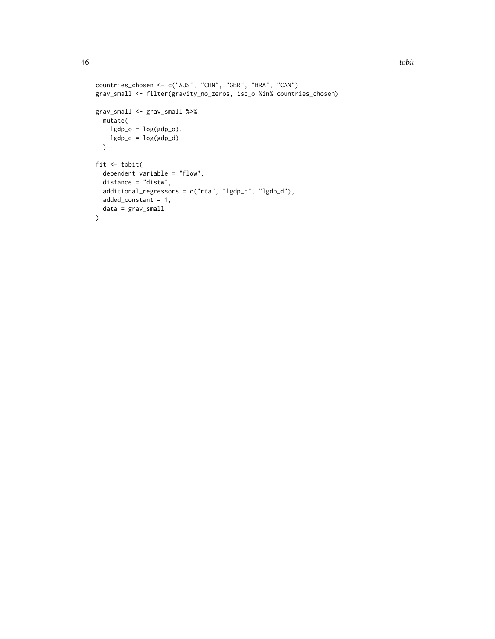```
countries_chosen <- c("AUS", "CHN", "GBR", "BRA", "CAN")
grav_small <- filter(gravity_no_zeros, iso_o %in% countries_chosen)
grav_small <- grav_small %>%
 mutate(
   lgdp_0 = log(gdp_0),
   lgdp_d = log(gdp_d)\lambdafit \leftarrow tobit(
  dependent_variable = "flow",
  distance = "distw",
  additional_regressors = c("rta", "lgdp_o", "lgdp_d"),
  added_constant = 1,
 data = grav_small
\mathcal{L}
```